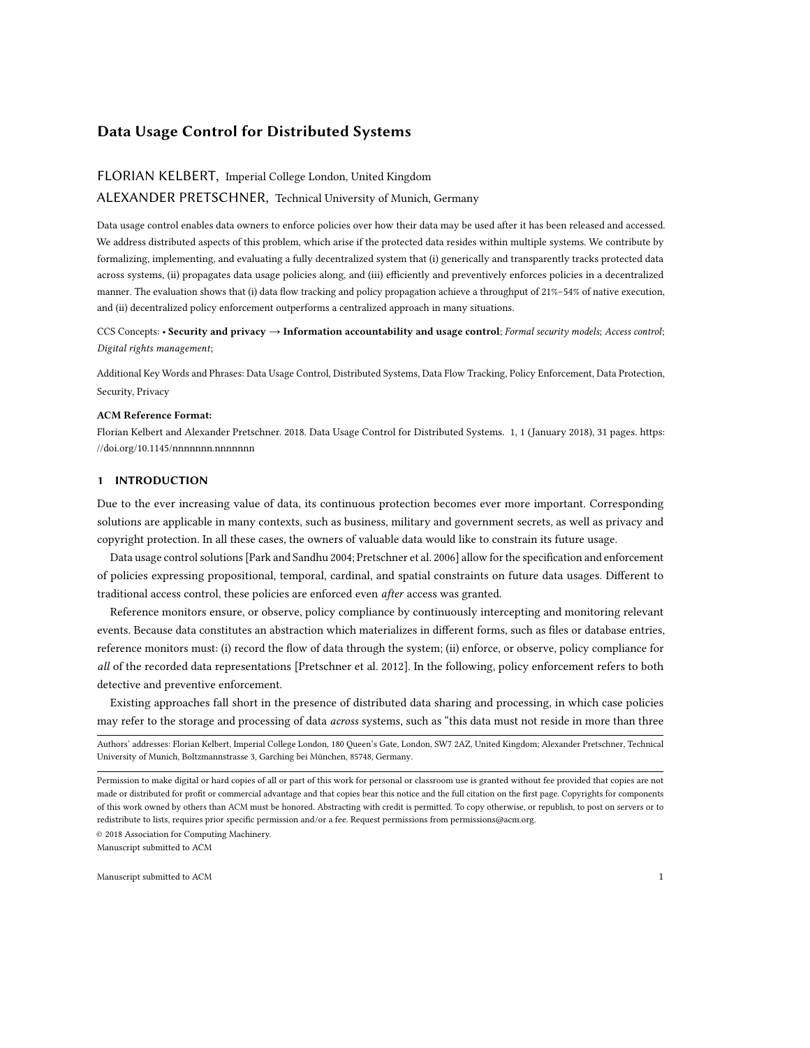# FLORIAN KELBERT, Imperial College London, United Kingdom

# ALEXANDER PRETSCHNER, Technical University of Munich, Germany

Data usage control enables data owners to enforce policies over how their data may be used after it has been released and accessed. We address distributed aspects of this problem, which arise if the protected data resides within multiple systems. We contribute by formalizing, implementing, and evaluating a fully decentralized system that (i) generically and transparently tracks protected data across systems, (ii) propagates data usage policies along, and (iii) efficiently and preventively enforces policies in a decentralized manner. The evaluation shows that (i) data flow tracking and policy propagation achieve a throughput of 21%–54% of native execution, and (ii) decentralized policy enforcement outperforms a centralized approach in many situations.

CCS Concepts: • Security and privacy  $\rightarrow$  Information accountability and usage control; Formal security models; Access control; Digital rights management;

Additional Key Words and Phrases: Data Usage Control, Distributed Systems, Data Flow Tracking, Policy Enforcement, Data Protection, Security, Privacy

### ACM Reference Format:

Florian Kelbert and Alexander Pretschner. 2018. Data Usage Control for Distributed Systems. 1, 1 (January 2018), [31](#page-30-0) pages. [https:](https://doi.org/10.1145/nnnnnnn.nnnnnnn)  $//doi.org/10.1145/nnnnnnnnnnnnnn$ 

# <span id="page-0-0"></span>1 INTRODUCTION

Due to the ever increasing value of data, its continuous protection becomes ever more important. Corresponding solutions are applicable in many contexts, such as business, military and government secrets, as well as privacy and copyright protection. In all these cases, the owners of valuable data would like to constrain its future usage.

Data usage control solutions [\[Park and Sandhu 2004;](#page-30-1) [Pretschner et al.](#page-30-2) [2006\]](#page-30-2) allow for the specification and enforcement of policies expressing propositional, temporal, cardinal, and spatial constraints on future data usages. Different to traditional access control, these policies are enforced even after access was granted.

Reference monitors ensure, or observe, policy compliance by continuously intercepting and monitoring relevant events. Because data constitutes an abstraction which materializes in different forms, such as files or database entries, reference monitors must: (i) record the flow of data through the system; (ii) enforce, or observe, policy compliance for all of the recorded data representations [\[Pretschner et al.](#page-30-3) [2012\]](#page-30-3). In the following, policy enforcement refers to both detective and preventive enforcement.

Existing approaches fall short in the presence of distributed data sharing and processing, in which case policies may refer to the storage and processing of data across systems, such as "this data must not reside in more than three

© 2018 Association for Computing Machinery.

Authors' addresses: Florian Kelbert, Imperial College London, 180 Queen's Gate, London, SW7 2AZ, United Kingdom; Alexander Pretschner, Technical University of Munich, Boltzmannstrasse 3, Garching bei München, 85748, Germany.

Permission to make digital or hard copies of all or part of this work for personal or classroom use is granted without fee provided that copies are not made or distributed for profit or commercial advantage and that copies bear this notice and the full citation on the first page. Copyrights for components of this work owned by others than ACM must be honored. Abstracting with credit is permitted. To copy otherwise, or republish, to post on servers or to redistribute to lists, requires prior specific permission and/or a fee. Request permissions from permissions@acm.org.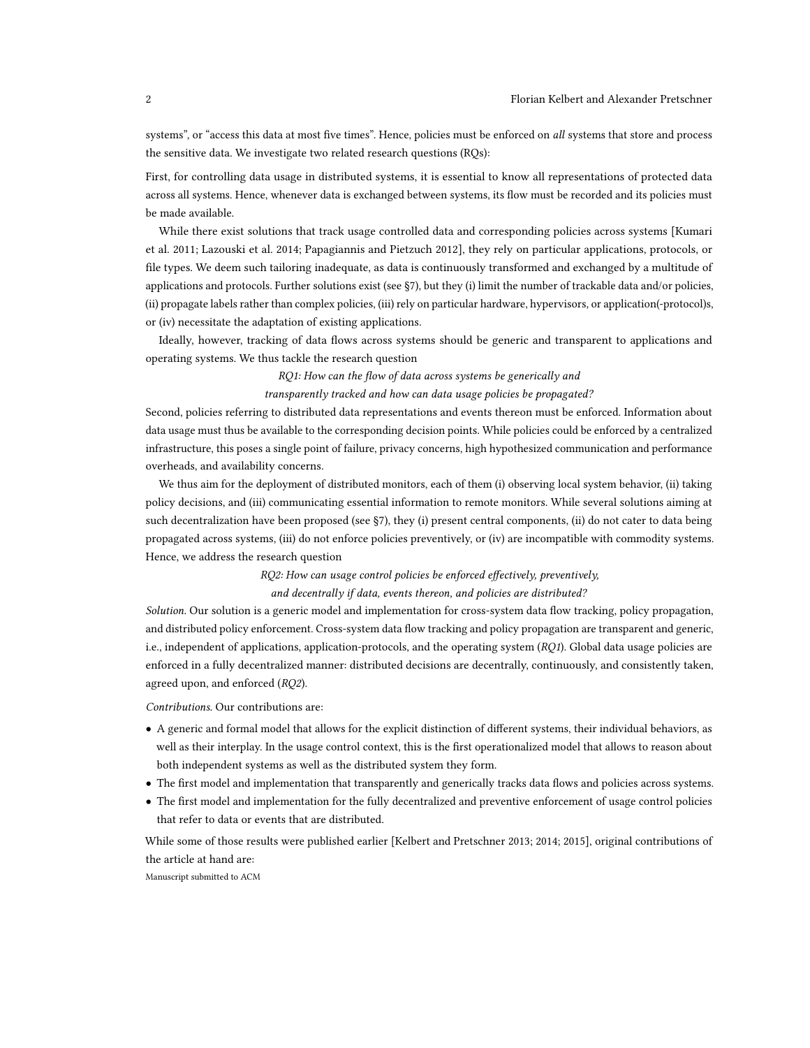systems", or "access this data at most five times". Hence, policies must be enforced on all systems that store and process the sensitive data. We investigate two related research questions (RQs):

First, for controlling data usage in distributed systems, it is essential to know all representations of protected data across all systems. Hence, whenever data is exchanged between systems, its flow must be recorded and its policies must be made available.

While there exist solutions that track usage controlled data and corresponding policies across systems [\[Kumari](#page-30-4) [et al.](#page-30-4) [2011;](#page-30-4) [Lazouski et al.](#page-30-5) [2014;](#page-30-5) [Papagiannis and Pietzuch 2012\]](#page-30-6), they rely on particular applications, protocols, or file types. We deem such tailoring inadequate, as data is continuously transformed and exchanged by a multitude of applications and protocols. Further solutions exist (see [§7\)](#page-27-0), but they (i) limit the number of trackable data and/or policies, (ii) propagate labels rather than complex policies, (iii) rely on particular hardware, hypervisors, or application(-protocol)s, or (iv) necessitate the adaptation of existing applications.

Ideally, however, tracking of data flows across systems should be generic and transparent to applications and operating systems. We thus tackle the research question

#### RQ1: How can the flow of data across systems be generically and

transparently tracked and how can data usage policies be propagated?

Second, policies referring to distributed data representations and events thereon must be enforced. Information about data usage must thus be available to the corresponding decision points. While policies could be enforced by a centralized infrastructure, this poses a single point of failure, privacy concerns, high hypothesized communication and performance overheads, and availability concerns.

We thus aim for the deployment of distributed monitors, each of them (i) observing local system behavior, (ii) taking policy decisions, and (iii) communicating essential information to remote monitors. While several solutions aiming at such decentralization have been proposed (see [§7\)](#page-27-1), they (i) present central components, (ii) do not cater to data being propagated across systems, (iii) do not enforce policies preventively, or (iv) are incompatible with commodity systems. Hence, we address the research question

RQ2: How can usage control policies be enforced effectively, preventively,

#### and decentrally if data, events thereon, and policies are distributed?

Solution. Our solution is a generic model and implementation for cross-system data flow tracking, policy propagation, and distributed policy enforcement. Cross-system data flow tracking and policy propagation are transparent and generic, i.e., independent of applications, application-protocols, and the operating system (RQ1). Global data usage policies are enforced in a fully decentralized manner: distributed decisions are decentrally, continuously, and consistently taken, agreed upon, and enforced (RQ2).

Contributions. Our contributions are:

- A generic and formal model that allows for the explicit distinction of different systems, their individual behaviors, as well as their interplay. In the usage control context, this is the first operationalized model that allows to reason about both independent systems as well as the distributed system they form.
- The first model and implementation that transparently and generically tracks data flows and policies across systems.
- The first model and implementation for the fully decentralized and preventive enforcement of usage control policies that refer to data or events that are distributed.

While some of those results were published earlier [\[Kelbert and Pretschner 2013;](#page-29-0) [2014;](#page-29-1) [2015\]](#page-29-2), original contributions of the article at hand are: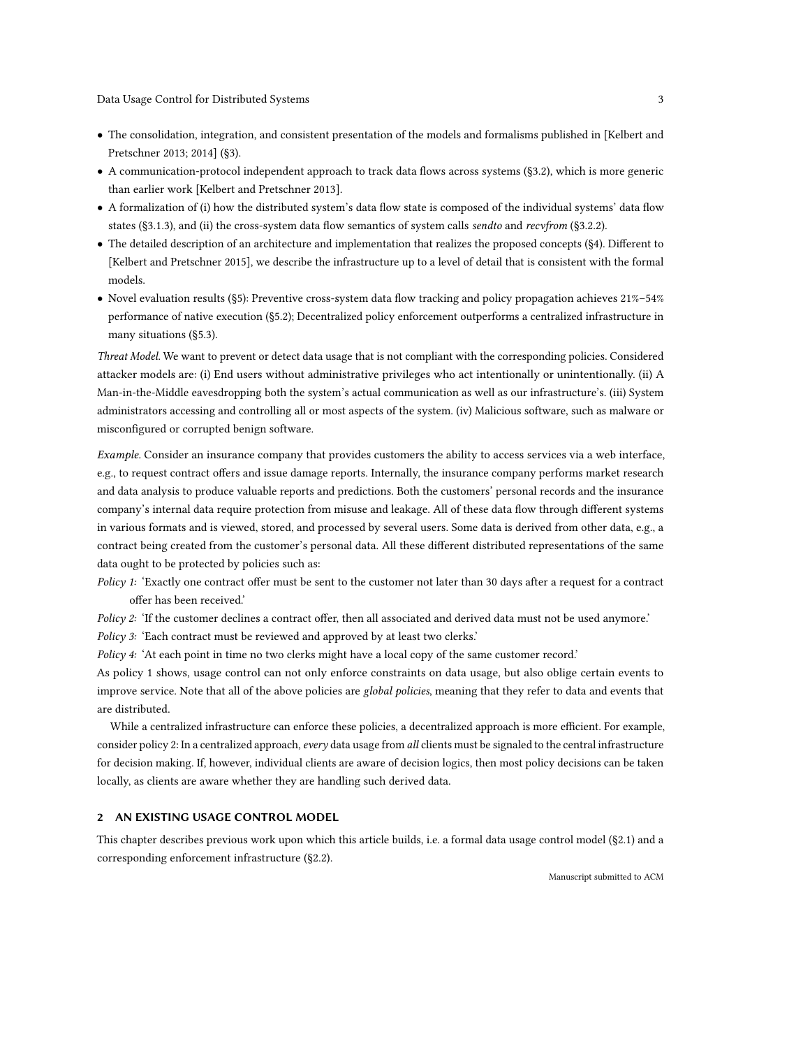- The consolidation, integration, and consistent presentation of the models and formalisms published in [\[Kelbert and](#page-29-0) [Pretschner 2013;](#page-29-0) [2014\]](#page-29-1) ([§3\)](#page-8-0).
- A communication-protocol independent approach to track data flows across systems ([§3.2\)](#page-9-0), which is more generic than earlier work [\[Kelbert and Pretschner 2013\]](#page-29-0).
- A formalization of (i) how the distributed system's data flow state is composed of the individual systems' data flow states ([§3.1.3\)](#page-9-1), and (ii) the cross-system data flow semantics of system calls sendto and recvfrom ([§3.2.2\)](#page-11-0).
- The detailed description of an architecture and implementation that realizes the proposed concepts ([§4\)](#page-15-0). Different to [\[Kelbert and Pretschner 2015\]](#page-29-2), we describe the infrastructure up to a level of detail that is consistent with the formal models.
- Novel evaluation results ([§5\)](#page-19-0): Preventive cross-system data flow tracking and policy propagation achieves 21%–54% performance of native execution ([§5.2\)](#page-21-0); Decentralized policy enforcement outperforms a centralized infrastructure in many situations ([§5.3\)](#page-24-0).

Threat Model. We want to prevent or detect data usage that is not compliant with the corresponding policies. Considered attacker models are: (i) End users without administrative privileges who act intentionally or unintentionally. (ii) A Man-in-the-Middle eavesdropping both the system's actual communication as well as our infrastructure's. (iii) System administrators accessing and controlling all or most aspects of the system. (iv) Malicious software, such as malware or misconfigured or corrupted benign software.

Example. Consider an insurance company that provides customers the ability to access services via a web interface, e.g., to request contract offers and issue damage reports. Internally, the insurance company performs market research and data analysis to produce valuable reports and predictions. Both the customers' personal records and the insurance company's internal data require protection from misuse and leakage. All of these data flow through different systems in various formats and is viewed, stored, and processed by several users. Some data is derived from other data, e.g., a contract being created from the customer's personal data. All these different distributed representations of the same data ought to be protected by policies such as:

Policy 1: 'Exactly one contract offer must be sent to the customer not later than 30 days after a request for a contract offer has been received.'

Policy 2: 'If the customer declines a contract offer, then all associated and derived data must not be used anymore.'

Policy 3: 'Each contract must be reviewed and approved by at least two clerks.'

Policy 4: 'At each point in time no two clerks might have a local copy of the same customer record.'

As policy 1 shows, usage control can not only enforce constraints on data usage, but also oblige certain events to improve service. Note that all of the above policies are global policies, meaning that they refer to data and events that are distributed.

While a centralized infrastructure can enforce these policies, a decentralized approach is more efficient. For example, consider policy 2: In a centralized approach, every data usage from all clients must be signaled to the central infrastructure for decision making. If, however, individual clients are aware of decision logics, then most policy decisions can be taken locally, as clients are aware whether they are handling such derived data.

### <span id="page-2-0"></span>2 AN EXISTING USAGE CONTROL MODEL

This chapter describes previous work upon which this article builds, i.e. a formal data usage control model ([§2.1\)](#page-3-0) and a corresponding enforcement infrastructure ([§2.2\)](#page-6-0).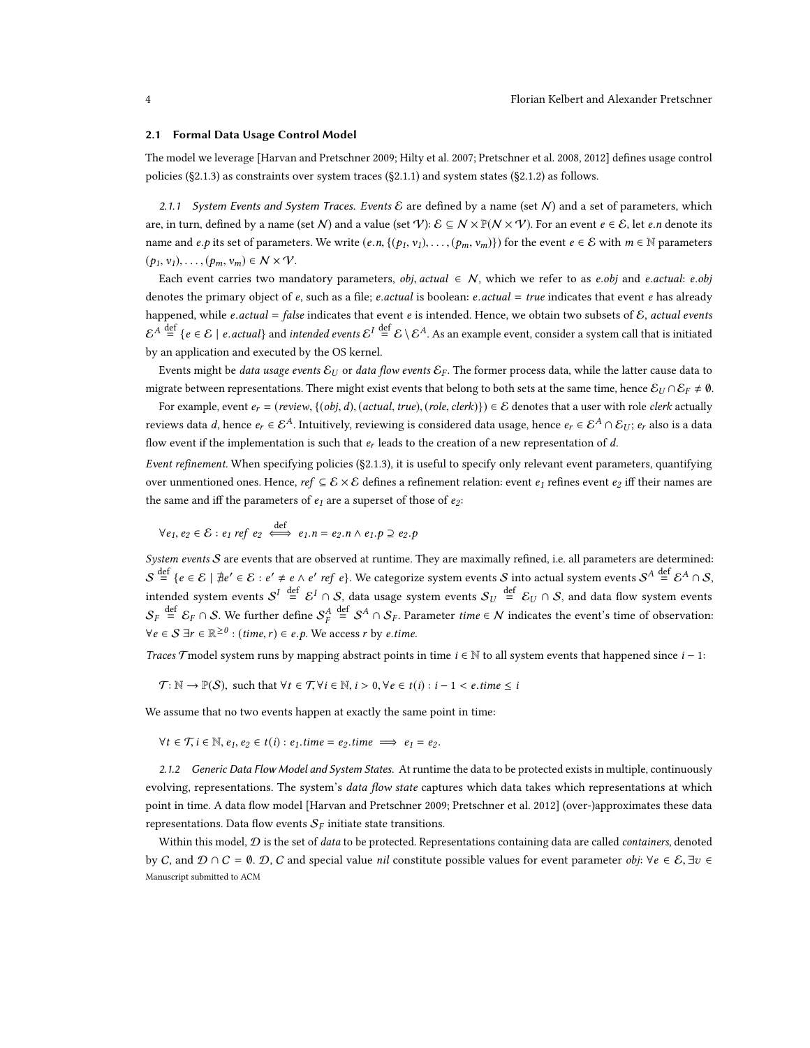#### <span id="page-3-0"></span>2.1 Formal Data Usage Control Model

The model we leverage [\[Harvan and Pretschner 2009;](#page-29-3) [Hilty et al.](#page-29-4) [2007;](#page-29-4) [Pretschner et al.](#page-30-7) [2008,](#page-30-7) [2012\]](#page-30-3) defines usage control policies ([§2.1.3\)](#page-5-0) as constraints over system traces ([§2.1.1\)](#page-3-1) and system states ([§2.1.2\)](#page-3-2) as follows.

<span id="page-3-1"></span>2.1.1 System Events and System Traces. Events  $\mathcal E$  are defined by a name (set N) and a set of parameters, which are, in turn, defined by a name (set N) and a value (set V):  $\mathcal{E} \subseteq N \times \mathbb{P}(N \times V)$ . For an event  $e \in \mathcal{E}$ , let e.n denote its name and e.p its set of parameters. We write  $(e, n, \{(p_1, v_1), \ldots, (p_m, v_m)\})$  for the event  $e \in \mathcal{E}$  with  $m \in \mathbb{N}$  parameters  $(p_1, v_1), \ldots, (p_m, v_m) \in \mathcal{N} \times \mathcal{V}.$ 

Each event carries two mandatory parameters, *obj, actual* ∈ N, which we refer to as *e.obj* and *e.actual: e.obj* denotes the primary object of  $e$ , such as a file; *e.actual* is boolean:  $e$ *actual* = true indicates that event  $e$  has already happened, while e.actual = false indicates that event e is intended. Hence, we obtain two subsets of  $\mathcal E$ , actual events  $\mathcal{E}^A \stackrel{\text{def}}{=} \{e \in \mathcal{E} \mid e \text{. actual}\}$  and intended events  $\mathcal{E}^I \stackrel{\text{def}}{=} \mathcal{E} \setminus \mathcal{E}^A$ . As an example event, consider a system call that is initiated by an application and executed by the OS kernel.

Events might be *data usage events*  $\varepsilon_U$  or *data flow events*  $\varepsilon_F$ . The former process data, while the latter cause data to migrate between representations. There might exist events that belong to both sets at the same time, hence  $\mathcal{E}_U \cap \mathcal{E}_F \neq \emptyset$ .

For example, event  $e_r = (review, \{(obj, d), (actual, true), (role, clerk)\}) \in \mathcal{E}$  denotes that a user with role *clerk* actually reviews data d, hence  $e_r \in \mathcal{E}^A$ . Intuitively, reviewing is considered data usage, hence  $e_r \in \mathcal{E}^A \cap \mathcal{E}_{U}$ ;  $e_r$  also is a data flow event if the implementation is such that  $e_r$  leads to the creation of a new representation of  $d$ .

Event refinement. When specifying policies ([§2.1.3\)](#page-5-0), it is useful to specify only relevant event parameters, quantifying over unmentioned ones. Hence, ref  $\subseteq \mathcal{E} \times \mathcal{E}$  defines a refinement relation: event  $e_1$  refines event  $e_2$  iff their names are the same and iff the parameters of  $e_1$  are a superset of those of  $e_2$ :

$$
\forall e_1, e_2 \in \mathcal{E} : e_1 \text{ ref } e_2 \iff e_1.n = e_2.n \land e_1.p \supseteq e_2.p
$$

System events  $S$  are events that are observed at runtime. They are maximally refined, i.e. all parameters are determined:  $\mathcal{S} \stackrel{\text{def}}{=} \{e \in \mathcal{E} \mid \nexists e' \in \mathcal{E}: e' \neq e \wedge e' \textit{ ref } e\}.$  We categorize system events  $\mathcal{S}$  into actual system events  $\mathcal{S}^A \stackrel{\text{def}}{=} \mathcal{E}^A \cap \mathcal{S},$ intended system events  $\mathcal{S}^I\ \stackrel{\rm def}{=}\ \mathcal{E}^I\cap\mathcal{S}$ , data usage system events  $\mathcal{S}_U\ \stackrel{\rm def}{=}\ \mathcal{E}_U\cap\mathcal{S}$ , and data flow system events  $\mathcal{S}_F\stackrel{\rm def}{=}\mathcal{E}_F\cap\mathcal{S}.$  We further define  $\mathcal{S}_F^A$  $\stackrel{\text{def}}{=}$  *S*<sup>A</sup> ∩ *S*<sub>F</sub>. Parameter *time* ∈ *N* indicates the event's time of observation:  $\forall e \in S \exists r \in \mathbb{R}^{\geq 0} : (time, r) \in e.p.$  We access r by e.time.

Traces Tmodel system runs by mapping abstract points in time  $i \in \mathbb{N}$  to all system events that happened since  $i - 1$ :

 $\mathcal{T}: \mathbb{N} \to \mathbb{P}(\mathcal{S})$ , such that  $\forall t \in \mathcal{T}, \forall i \in \mathbb{N}, i > 0, \forall e \in t(i): i - 1 < e$ .time  $\leq i$ 

We assume that no two events happen at exactly the same point in time:

 $\forall t \in \mathcal{T}, i \in \mathbb{N}, e_1, e_2 \in t(i): e_1.time = e_2.time \implies e_1 = e_2$ .

<span id="page-3-2"></span>2.1.2 Generic Data Flow Model and System States. At runtime the data to be protected exists in multiple, continuously evolving, representations. The system's *data flow state* captures which data takes which representations at which point in time. A data flow model [\[Harvan and Pretschner 2009;](#page-29-3) [Pretschner et al.](#page-30-3) [2012\]](#page-30-3) (over-)approximates these data representations. Data flow events  $\mathcal{S}_F$  initiate state transitions.

Within this model,  $D$  is the set of data to be protected. Representations containing data are called *containers*, denoted by C, and  $\mathcal{D} \cap \mathcal{C} = \emptyset$ .  $\mathcal{D}$ , C and special value *nil* constitute possible values for event parameter *obj*:  $\forall e \in \mathcal{E}$ ,  $\exists v \in \mathcal{C}$ Manuscript submitted to ACM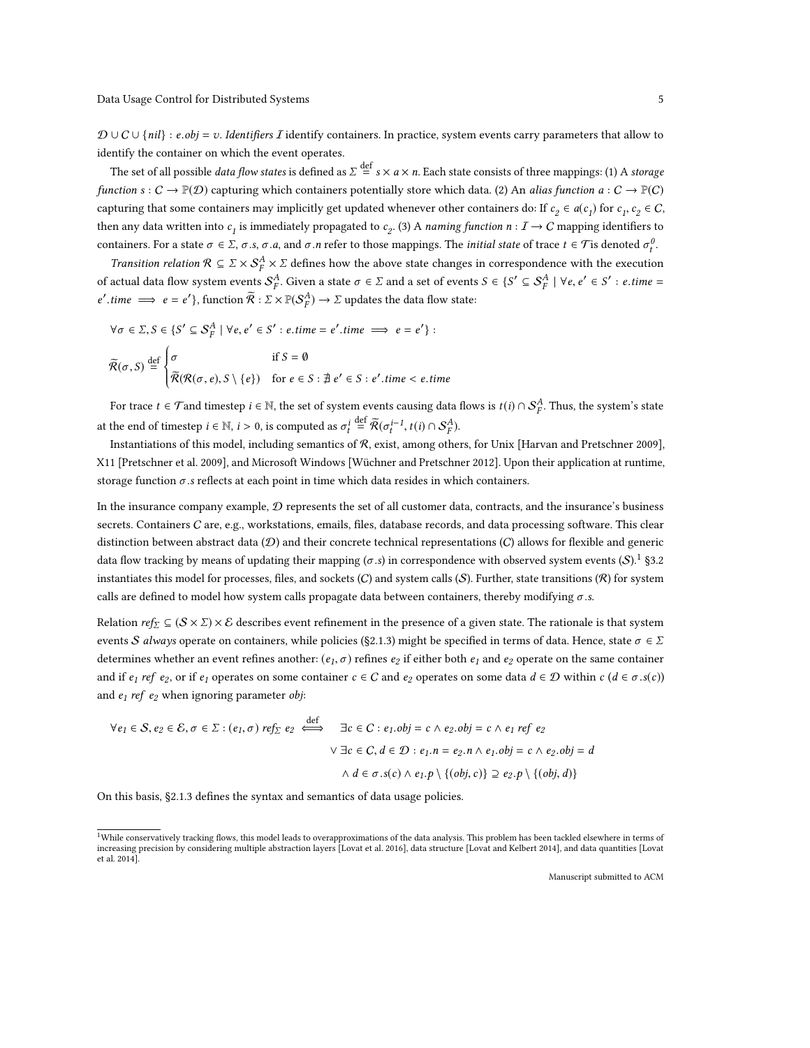J.

 $\mathcal{D} \cup C \cup \{nil\} : e.obj = v.$  *Identifiers I* identify containers. In practice, system events carry parameters that allow to identify the container on which the event operates.

The set of all possible *data flow states* is defined as  $\sum \frac{\text{def}}{n} \times a \times n$ . Each state consists of three mappings: (1) A *storage* function  $s: C \to \mathbb{P}(\mathcal{D})$  capturing which containers potentially store which data. (2) An alias function  $a: C \to \mathbb{P}(C)$ capturing that some containers may implicitly get updated whenever other containers do: If  $c_2 \in a(c_1)$  for  $c_1, c_2 \in C$ , then any data written into  $c_1$  is immediately propagated to  $c_2$ . (3) A naming function  $n: I \to C$  mapping identifiers to containers. For a state  $\sigma \in \Sigma$ ,  $\sigma.s$ ,  $\sigma.a$ , and  $\sigma.n$  refer to those mappings. The *initial state* of trace  $t \in \mathcal{T}$  is denoted  $\sigma_t^0$ .

*Transition relation*  $\mathcal{R} \subseteq \Sigma \times S_F^A \times \Sigma$  defines how the above state changes in correspondence with the execution of actual data flow system events  $S^A_T$ . Given a state  $\sigma \in \Sigma$  and a set of events  $S \in \{S' \subseteq S^A_F \mid \forall e, e' \in S' : e.time =$  $e'.time \implies e = e'$ }, function  $\widetilde{\mathcal{R}} : \Sigma \times \mathbb{P}(\mathcal{S}_F^A) \to \Sigma$  updates the data flow state:

$$
\forall \sigma \in \Sigma, S \in \{S' \subseteq S_F^A \mid \forall e, e' \in S' : e.time = e'.time \implies e = e'\} : \tilde{\mathcal{R}}(\sigma, S) \stackrel{\text{def}}{=} \begin{cases} \sigma & \text{if } S = \emptyset \\ \tilde{\mathcal{R}}(\mathcal{R}(\sigma, e), S \setminus \{e\}) & \text{for } e \in S : \nexists e' \in S : e'.time < e.time \end{cases}
$$

For trace  $t \in \mathcal{T}$  and timestep  $i \in \mathbb{N}$ , the set of system events causing data flows is  $t(i) \cap S^A_F$ . Thus, the system's state at the end of timestep  $i \in \mathbb{N}$ ,  $i > 0$ , is computed as  $\sigma_t^i$  $\stackrel{\text{def}}{=} \widetilde{\mathcal{R}}(\sigma_t^{i-1}, t(i) \cap \mathcal{S}_F^A).$ 

Instantiations of this model, including semantics of  $R$ , exist, among others, for Unix [\[Harvan and Pretschner 2009\]](#page-29-3), X11 [\[Pretschner et al.](#page-30-8) [2009\]](#page-30-8), and Microsoft Windows [\[Wüchner and Pretschner 2012\]](#page-30-9). Upon their application at runtime, storage function  $\sigma$  .s reflects at each point in time which data resides in which containers.

In the insurance company example,  $D$  represents the set of all customer data, contracts, and the insurance's business secrets. Containers  $C$  are, e.g., workstations, emails, files, database records, and data processing software. This clear distinction between abstract data  $(D)$  and their concrete technical representations  $(C)$  allows for flexible and generic data flow tracking by means of updating their mapping ( $\sigma$ .s) in correspondence with observed system events  $(S)$ .<sup>[1](#page-4-0)</sup> [§3.2](#page-9-0) instantiates this model for processes, files, and sockets  $(C)$  and system calls  $(S)$ . Further, state transitions  $(R)$  for system calls are defined to model how system calls propagate data between containers, thereby modifying  $\sigma$ .s.

Relation ref<sub>Σ</sub>  $\subseteq$  ( $S \times \Sigma$ ) × E describes event refinement in the presence of a given state. The rationale is that system events S always operate on containers, while policies ([§2.1.3\)](#page-5-0) might be specified in terms of data. Hence, state  $\sigma \in \Sigma$ determines whether an event refines another:  $(e_1, \sigma)$  refines  $e_2$  if either both  $e_1$  and  $e_2$  operate on the same container and if  $e_1$  ref  $e_2$ , or if  $e_1$  operates on some container  $c \in C$  and  $e_2$  operates on some data  $d \in \mathcal{D}$  within  $c (d \in \sigma.s(c))$ and  $e_1$  ref  $e_2$  when ignoring parameter obj:

$$
\forall e_1 \in S, e_2 \in E, \sigma \in \Sigma : (e_1, \sigma) \text{ ref}_{\Sigma} e_2 \iff \exists c \in C : e_1 \text{.} \text{ obj} = c \land e_2 \text{.} \text{ obj} = c \land e_1 \text{ ref } e_2
$$
\n
$$
\forall \exists c \in C, d \in \mathcal{D} : e_1 \text{.} \text{ nj} = e_2 \text{.} \text{ nj} \land e_1 \text{.} \text{ obj} = c \land e_2 \text{.} \text{ obj} = d
$$
\n
$$
\land d \in \sigma \text{.} \text{ s}(c) \land e_1 \text{.} \text{ p} \setminus \{(\text{obj}, c)\} \supseteq e_2 \text{.} \text{ p} \setminus \{(\text{obj}, d)\}
$$

On this basis, [§2.1.3](#page-5-0) defines the syntax and semantics of data usage policies.

<span id="page-4-0"></span> $1$ While conservatively tracking flows, this model leads to overapproximations of the data analysis. This problem has been tackled elsewhere in terms of increasing precision by considering multiple abstraction layers [\[Lovat et al.](#page-30-10) [2016\]](#page-30-10), data structure [\[Lovat and Kelbert 2014\]](#page-30-11), and data quantities [\[Lovat](#page-30-12) [et al. 2014\]](#page-30-12).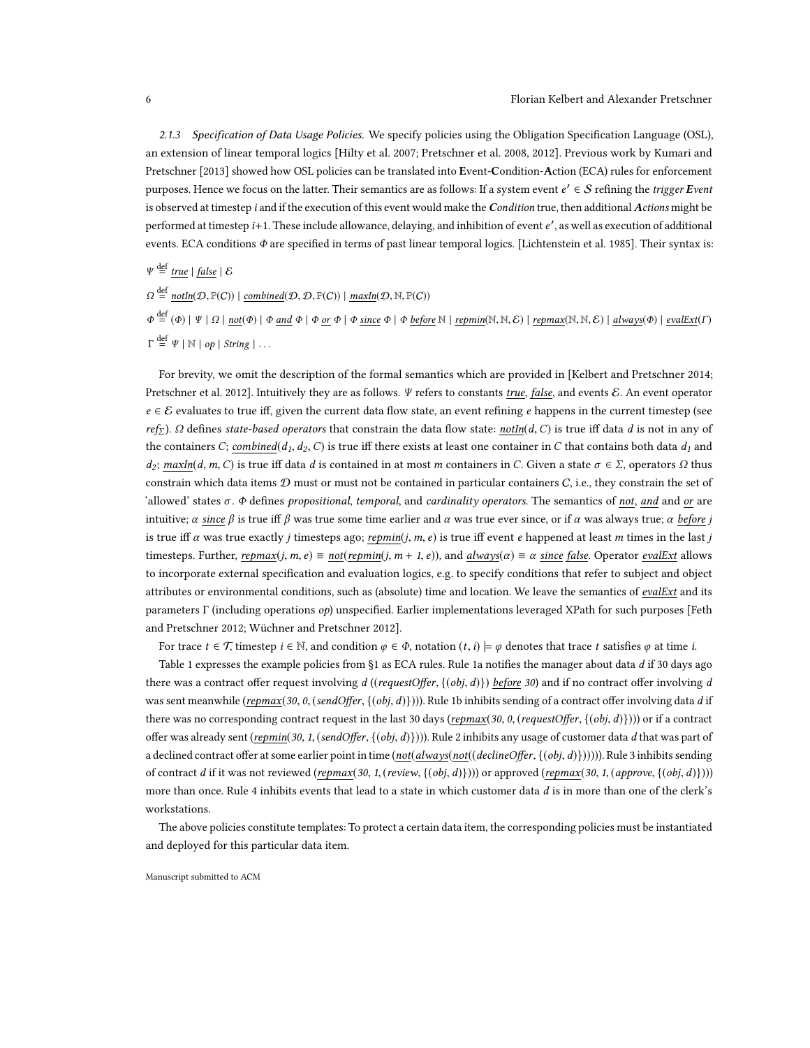<span id="page-5-0"></span>2.1.3 Specification of Data Usage Policies. We specify policies using the Obligation Specification Language (OSL), an extension of linear temporal logics [\[Hilty et al.](#page-29-4) [2007;](#page-29-4) [Pretschner et al.](#page-30-7) [2008,](#page-30-7) [2012\]](#page-30-3). Previous work by [Kumari and](#page-30-13) [Pretschner](#page-30-13) [\[2013\]](#page-30-13) showed how OSL policies can be translated into Event-Condition-Action (ECA) rules for enforcement purposes. Hence we focus on the latter. Their semantics are as follows: If a system event  $e' \in S$  refining the *trigger Event* is observed at timestep i and if the execution of this event would make the Condition true, then additional Actions might be performed at timestep *i*+1. These include allowance, delaying, and inhibition of event e', as well as execution of additional events. ECA conditions  $\Phi$  are specified in terms of past linear temporal logics. [\[Lichtenstein et al.](#page-30-14) [1985\]](#page-30-14). Their syntax is:

 $\Psi \stackrel{\text{def}}{=} \underline{true} \mid \underline{false} \mid \mathcal{E}$ 

 $\Omega \stackrel{\text{def}}{=} \underline{\text{notIn}}(\mathcal{D}, \mathbb{P}(C)) \mid \underline{\text{combined}}(\mathcal{D}, \mathcal{D}, \mathbb{P}(C)) \mid \underline{\text{maxIn}}(\mathcal{D}, \mathbb{N}, \mathbb{P}(C))$ 

 $\Phi \stackrel{\text{def}}{=} (\Phi) \mid \Psi \mid \Omega \mid \text{not}(\Phi) \mid \Phi \text{ and } \Phi \mid \Phi \text{ or } \Phi \mid \Phi \text{ since } \Phi \mid \Phi \text{ before } \mathbb{N} \mid \text{repmin}(\mathbb{N}, \mathbb{N}, \mathcal{E}) \mid \text{repmax}(\mathbb{N}, \mathbb{N}, \mathcal{E}) \mid \text{always}(\Phi) \mid \text{evalExt}(\Gamma)$  $\stackrel{\text{def}}{=} \Psi \mid \mathbb{N} \mid op \mid String \mid \dots$ 

For brevity, we omit the description of the formal semantics which are provided in [\[Kelbert and Pretschner 2014;](#page-29-1) [Pretschner et al.](#page-30-3) [2012\]](#page-30-3). Intuitively they are as follows. Ψ refers to constants true, false, and events E. An event operator  $e \in \mathcal{E}$  evaluates to true iff, given the current data flow state, an event refining e happens in the current timestep (see ref<sub>Σ</sub>). Ω defines state-based operators that constrain the data flow state: notIn(d, C) is true iff data d is not in any of the containers C; combined(d<sub>1</sub>, d<sub>2</sub>, C) is true iff there exists at least one container in C that contains both data  $d_1$  and  $d_2$ ; maxIn(d, m, C) is true iff data d is contained in at most m containers in C. Given a state  $\sigma \in \Sigma$ , operators  $\Omega$  thus constrain which data items  $D$  must or must not be contained in particular containers  $C$ , i.e., they constrain the set of 'allowed' states  $\sigma$ .  $\Phi$  defines propositional, temporal, and cardinality operators. The semantics of not, and and or are intuitive;  $\alpha$  since  $\beta$  is true iff  $\beta$  was true some time earlier and  $\alpha$  was true ever since, or if  $\alpha$  was always true;  $\alpha$  before j is true iff  $\alpha$  was true exactly j timesteps ago; repmin(j, m, e) is true iff event e happened at least m times in the last j timesteps. Further, repmax(j, m, e)  $\equiv$  not(repmin(j, m + 1, e)), and always( $\alpha$ )  $\equiv \alpha$  since false. Operator evalExt allows to incorporate external specification and evaluation logics, e.g. to specify conditions that refer to subject and object attributes or environmental conditions, such as (absolute) time and location. We leave the semantics of evalExt and its parameters Γ (including operations op) unspecified. Earlier implementations leveraged XPath for such purposes [\[Feth](#page-29-5) [and Pretschner 2012;](#page-29-5) [Wüchner and Pretschner 2012\]](#page-30-9).

For trace  $t \in \mathcal{T}$ , timestep  $i \in \mathbb{N}$ , and condition  $\varphi \in \Phi$ , notation  $(t, i) \models \varphi$  denotes that trace t satisfies  $\varphi$  at time i.

Table [1](#page-6-1) expresses the example policies from [§1](#page-0-0) as ECA rules. Rule 1a notifies the manager about data  $d$  if 30 days ago there was a contract offer request involving  $d$  ((requestOffer, {(obj, d)}) before 30) and if no contract offer involving d was sent meanwhile (repmax(30, 0, (sendOffer, {(obj, d)})). Rule 1b inhibits sending of a contract offer involving data d if there was no corresponding contract request in the last 30 days (repmax(30, 0, (requestOffer,  $\{(obj, d)\})$ )) or if a contract offer was already sent (repmin(30, 1, (sendOffer,  $\{(obj, d)\})$ )). Rule 2 inhibits any usage of customer data d that was part of a declined contract offer at some earlier point in time (not(always(not((declineOffer, {(obj, d)}))))). Rule 3 inhibits sending of contract d if it was not reviewed (repmax(30, 1, (review,  $\{(obj, d)\})$ )) or approved (repmax(30, 1, (approve,  $\{(obj, d)\})$ )) more than once. Rule 4 inhibits events that lead to a state in which customer data d is in more than one of the clerk's workstations.

The above policies constitute templates: To protect a certain data item, the corresponding policies must be instantiated and deployed for this particular data item.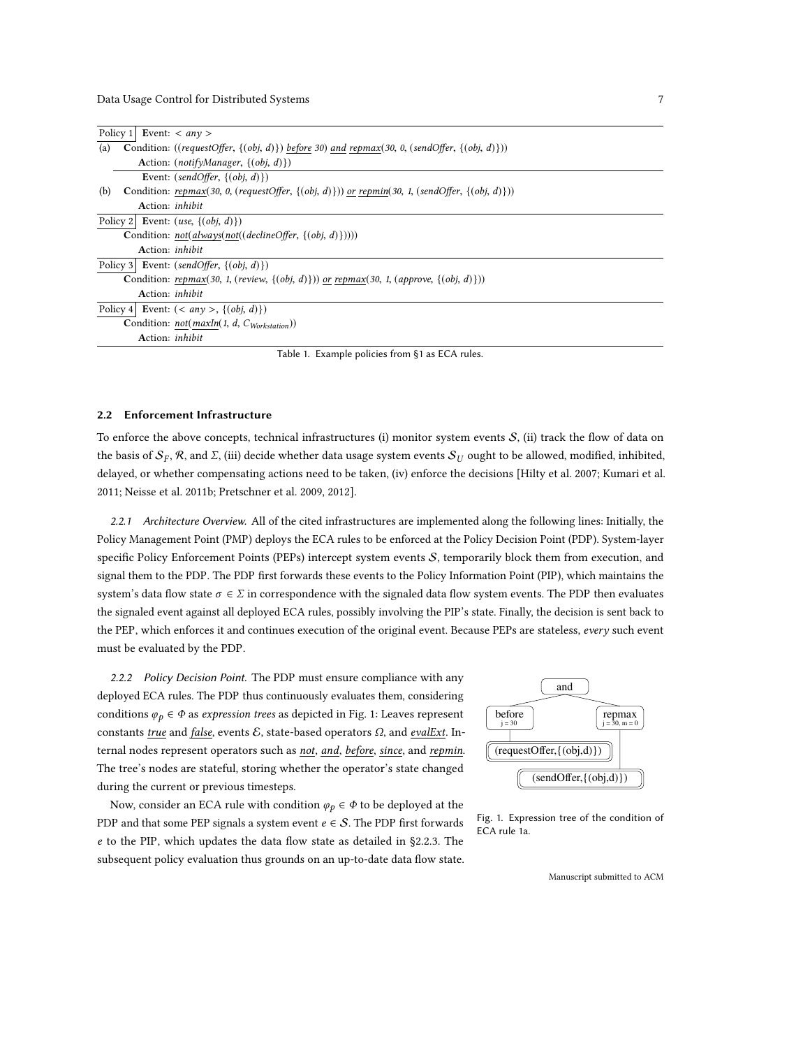<span id="page-6-1"></span>

|                                                                                                  |  | Policy 1 Event: $\langle$ any $\rangle$                                                                |
|--------------------------------------------------------------------------------------------------|--|--------------------------------------------------------------------------------------------------------|
| (a)                                                                                              |  | Condition: ((requestOffer, $\{(obj, d)\}\)$ before 30) and repmax(30, 0, (sendOffer, $\{(obj, d)\})$ ) |
|                                                                                                  |  | Action: $(notifyManager, \{(obj, d)\})$                                                                |
|                                                                                                  |  | Event: $(sendOffer, \{(obj, d)\})$                                                                     |
| (b)                                                                                              |  | Condition: repmax(30, 0, (requestOffer, {(obj, d)})) or repmin(30, 1, (sendOffer, {(obj, d)}))         |
|                                                                                                  |  | Action: <i>inhibit</i>                                                                                 |
|                                                                                                  |  | Policy 2 Event: $(use, \{(obj, d)\})$                                                                  |
|                                                                                                  |  | Condition: $not(always(not((declineOffer, {(obj, d)}))))$                                              |
|                                                                                                  |  | Action: <i>inhibit</i>                                                                                 |
|                                                                                                  |  | Policy 3 Event: (sendOffer, $\{(obj, d)\})$                                                            |
| Condition: repmax(30, 1, (review, $\{(obj, d)\})$ ) or repmax(30, 1, (approve, $\{(obj, d)\})$ ) |  |                                                                                                        |
|                                                                                                  |  | Action: <i>inhibit</i>                                                                                 |
|                                                                                                  |  | Policy 4 Event: $( >, \{(obj, d)\})$                                                                   |
|                                                                                                  |  | Condition: $not(maxIn(1, d, C_{Workstation}))$                                                         |
|                                                                                                  |  | Action: <i>inhibit</i>                                                                                 |

Table 1. Example policies from [§1](#page-0-0) as ECA rules.

#### <span id="page-6-0"></span>2.2 Enforcement Infrastructure

To enforce the above concepts, technical infrastructures (i) monitor system events  $S$ , (ii) track the flow of data on the basis of  $\mathcal{S}_F$ ,  $\mathcal{R}$ , and  $\Sigma$ , (iii) decide whether data usage system events  $\mathcal{S}_U$  ought to be allowed, modified, inhibited, delayed, or whether compensating actions need to be taken, (iv) enforce the decisions [\[Hilty et al.](#page-29-4) [2007;](#page-29-4) [Kumari et al.](#page-30-4) [2011;](#page-30-4) [Neisse et al. 2011b;](#page-30-15) [Pretschner et al. 2009,](#page-30-8) [2012\]](#page-30-3).

2.2.1 Architecture Overview. All of the cited infrastructures are implemented along the following lines: Initially, the Policy Management Point (PMP) deploys the ECA rules to be enforced at the Policy Decision Point (PDP). System-layer specific Policy Enforcement Points (PEPs) intercept system events S, temporarily block them from execution, and signal them to the PDP. The PDP first forwards these events to the Policy Information Point (PIP), which maintains the system's data flow state  $\sigma \in \Sigma$  in correspondence with the signaled data flow system events. The PDP then evaluates the signaled event against all deployed ECA rules, possibly involving the PIP's state. Finally, the decision is sent back to the PEP, which enforces it and continues execution of the original event. Because PEPs are stateless, every such event must be evaluated by the PDP.

<span id="page-6-3"></span>2.2.2 Policy Decision Point. The PDP must ensure compliance with any deployed ECA rules. The PDP thus continuously evaluates them, considering conditions  $\varphi_p \in \Phi$  as expression trees as depicted in Fig. [1:](#page-6-2) Leaves represent constants true and false, events  $E$ , state-based operators  $\Omega$ , and evalExt. Internal nodes represent operators such as not, and, before, since, and repmin. The tree's nodes are stateful, storing whether the operator's state changed during the current or previous timesteps.

Now, consider an ECA rule with condition  $\varphi_p \in \Phi$  to be deployed at the PDP and that some PEP signals a system event  $e \in S$ . The PDP first forwards e to the PIP, which updates the data flow state as detailed in [§2.2.3.](#page-7-0) The subsequent policy evaluation thus grounds on an up-to-date data flow state.

<span id="page-6-2"></span>

Fig. 1. Expression tree of the condition of ECA rule 1a.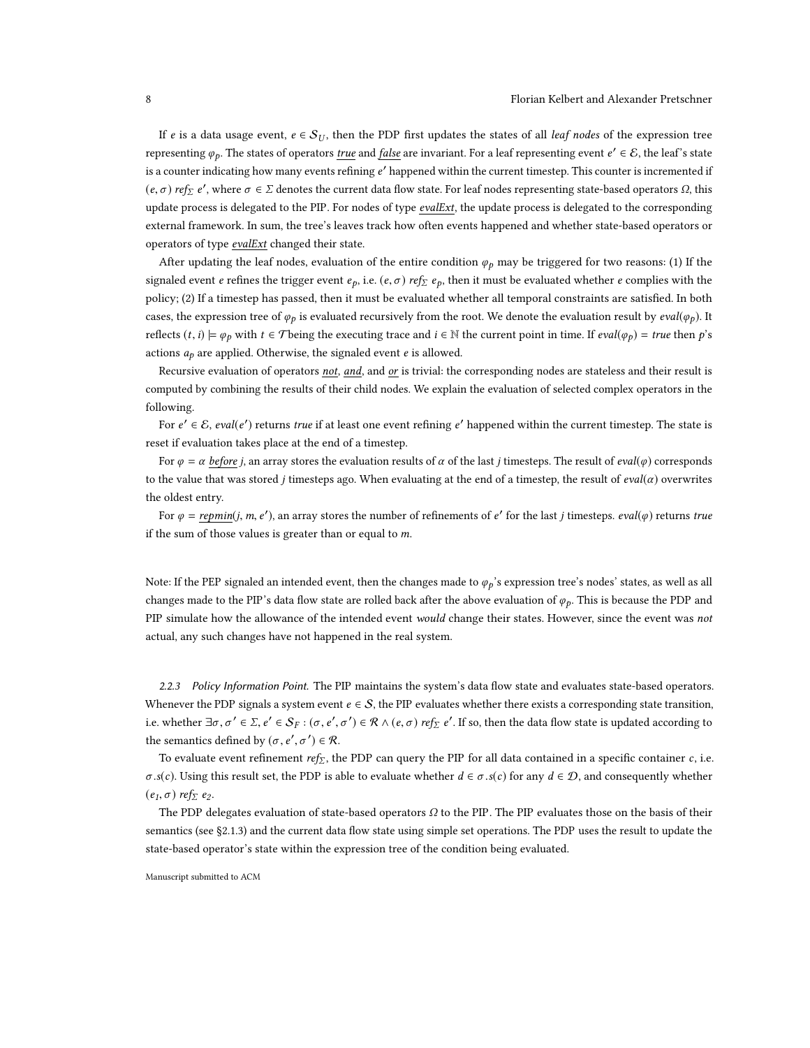If e is a data usage event,  $e \in S_U$ , then the PDP first updates the states of all leaf nodes of the expression tree representing  $\varphi_p$ . The states of operators <u>true</u> and <u>false</u> are invariant. For a leaf representing event  $e' \in \mathcal{E}$ , the leaf's state is a counter indicating how many events refining  $e'$  happened within the current timestep. This counter is incremented if  $(e, \sigma)$  ref<sub>Σ</sub> e', where  $\sigma \in \Sigma$  denotes the current data flow state. For leaf nodes representing state-based operators  $\Omega$ , this update process is delegated to the PIP. For nodes of type evalExt, the update process is delegated to the corresponding external framework. In sum, the tree's leaves track how often events happened and whether state-based operators or operators of type evalExt changed their state.

After updating the leaf nodes, evaluation of the entire condition  $\varphi_p$  may be triggered for two reasons: (1) If the signaled event e refines the trigger event  $e_p$ , i.e.  $(e, \sigma)$  ref $\sum e_p$ , then it must be evaluated whether e complies with the policy; (2) If a timestep has passed, then it must be evaluated whether all temporal constraints are satisfied. In both cases, the expression tree of  $\varphi_p$  is evaluated recursively from the root. We denote the evaluation result by *eval*( $\varphi_p$ ). It reflects  $(t, i) \models \varphi_p$  with  $t \in \mathcal{T}$  being the executing trace and  $i \in \mathbb{N}$  the current point in time. If  $eval(\varphi_p) = true$  then p's actions  $a_p$  are applied. Otherwise, the signaled event  $e$  is allowed.

Recursive evaluation of operators not, and, and or is trivial: the corresponding nodes are stateless and their result is computed by combining the results of their child nodes. We explain the evaluation of selected complex operators in the following.

For  $e' \in E$ ,  $eval(e')$  returns true if at least one event refining  $e'$  happened within the current timestep. The state is reset if evaluation takes place at the end of a timestep.

For  $\varphi = \alpha$  before *i*, an array stores the evaluation results of  $\alpha$  of the last *j* timesteps. The result of *eval*( $\varphi$ ) corresponds to the value that was stored j timesteps ago. When evaluating at the end of a timestep, the result of eval( $\alpha$ ) overwrites the oldest entry.

For  $\varphi = \underline{repmin}(j, m, e')$ , an array stores the number of refinements of  $e'$  for the last j timesteps.  $eval(\varphi)$  returns true if the sum of those values is greater than or equal to  $m$ .

Note: If the PEP signaled an intended event, then the changes made to  $\varphi_p$ 's expression tree's nodes' states, as well as all changes made to the PIP's data flow state are rolled back after the above evaluation of  $\varphi_p$ . This is because the PDP and PIP simulate how the allowance of the intended event would change their states. However, since the event was not actual, any such changes have not happened in the real system.

<span id="page-7-0"></span>2.2.3 Policy Information Point. The PIP maintains the system's data flow state and evaluates state-based operators. Whenever the PDP signals a system event  $e \in S$ , the PIP evaluates whether there exists a corresponding state transition, i.e. whether  $\exists \sigma, \sigma' \in \Sigma, e' \in S_F : (\sigma, e')$ , σ  $\mathcal{C}'$ ) ∈  $\mathcal{R}$  ∧ (*e*,  $\sigma$ ) *ref*<sub>Σ</sub> *e*'. If so, then the data flow state is updated according to the semantics defined by  $(\sigma, e', \sigma') \in \mathcal{R}$ .

To evaluate event refinement  $ref_{\Sigma}$ , the PDP can query the PIP for all data contained in a specific container  $c$ , i.e.  $\sigma$ .s(c). Using this result set, the PDP is able to evaluate whether  $d \in \sigma$ .s(c) for any  $d \in \mathcal{D}$ , and consequently whether  $(e_1, \sigma)$  ref $\overline{\Sigma}$  e<sub>2</sub>.

The PDP delegates evaluation of state-based operators  $\Omega$  to the PIP. The PIP evaluates those on the basis of their semantics (see [§2.1.3\)](#page-5-0) and the current data flow state using simple set operations. The PDP uses the result to update the state-based operator's state within the expression tree of the condition being evaluated.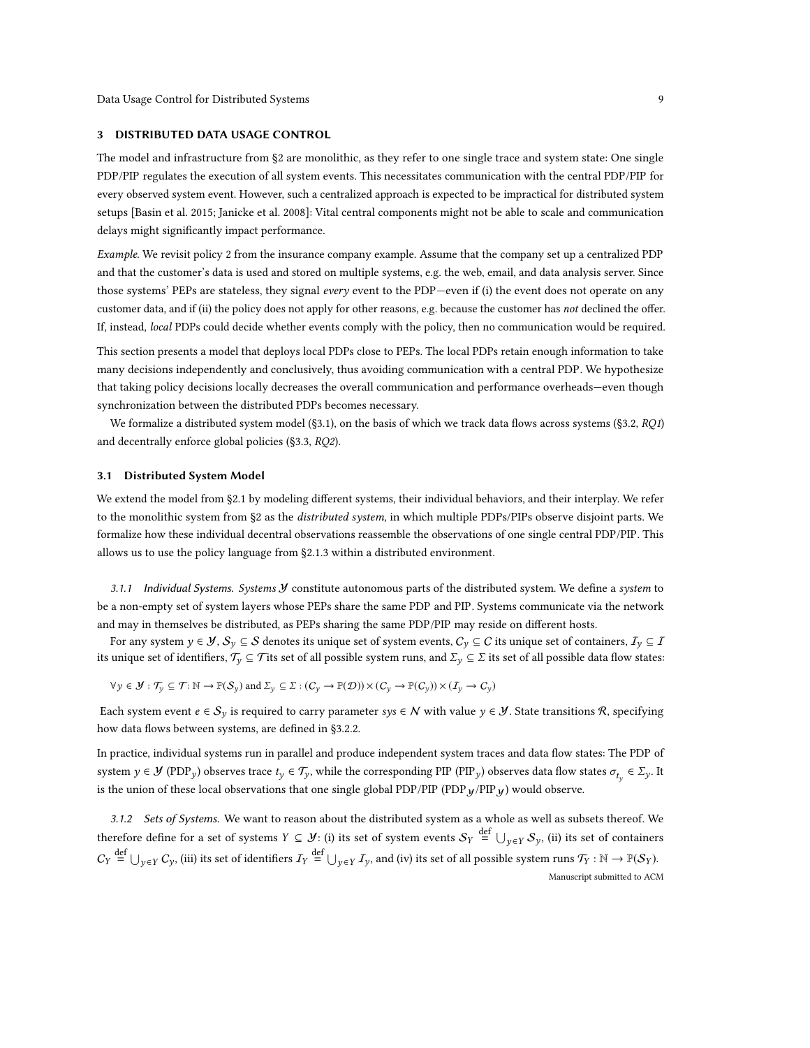### <span id="page-8-0"></span>3 DISTRIBUTED DATA USAGE CONTROL

The model and infrastructure from [§2](#page-2-0) are monolithic, as they refer to one single trace and system state: One single PDP/PIP regulates the execution of all system events. This necessitates communication with the central PDP/PIP for every observed system event. However, such a centralized approach is expected to be impractical for distributed system setups [\[Basin et al.](#page-29-6) [2015;](#page-29-6) [Janicke et al.](#page-29-7) [2008\]](#page-29-7): Vital central components might not be able to scale and communication delays might significantly impact performance.

Example. We revisit policy 2 from the insurance company example. Assume that the company set up a centralized PDP and that the customer's data is used and stored on multiple systems, e.g. the web, email, and data analysis server. Since those systems' PEPs are stateless, they signal every event to the PDP-even if (i) the event does not operate on any customer data, and if (ii) the policy does not apply for other reasons, e.g. because the customer has not declined the offer. If, instead, local PDPs could decide whether events comply with the policy, then no communication would be required.

This section presents a model that deploys local PDPs close to PEPs. The local PDPs retain enough information to take many decisions independently and conclusively, thus avoiding communication with a central PDP. We hypothesize that taking policy decisions locally decreases the overall communication and performance overheads—even though synchronization between the distributed PDPs becomes necessary.

We formalize a distributed system model ([§3.1\)](#page-8-1), on the basis of which we track data flows across systems ([§3.2,](#page-9-0) RQ1) and decentrally enforce global policies ([§3.3,](#page-12-0) RQ2).

### <span id="page-8-1"></span>3.1 Distributed System Model

We extend the model from [§2.1](#page-3-0) by modeling different systems, their individual behaviors, and their interplay. We refer to the monolithic system from [§2](#page-2-0) as the *distributed system*, in which multiple PDPs/PIPs observe disjoint parts. We formalize how these individual decentral observations reassemble the observations of one single central PDP/PIP. This allows us to use the policy language from [§2.1.3](#page-5-0) within a distributed environment.

<span id="page-8-2"></span>3.1.1 Individual Systems. Systems  $\cal Y$  constitute autonomous parts of the distributed system. We define a system to be a non-empty set of system layers whose PEPs share the same PDP and PIP. Systems communicate via the network and may in themselves be distributed, as PEPs sharing the same PDP/PIP may reside on different hosts.

For any system  $y \in \mathcal{Y}, S_y \subseteq \mathcal{S}$  denotes its unique set of system events,  $C_y \subseteq C$  its unique set of containers,  $I_y \subseteq I$ its unique set of identifiers,  $\mathcal{T}_v \subseteq \mathcal{T}$  its set of all possible system runs, and  $\Sigma_v \subseteq \Sigma$  its set of all possible data flow states:

 $\forall y \in \mathcal{Y} : \mathcal{T}_y \subseteq \mathcal{T} : \mathbb{N} \to \mathbb{P}(\mathcal{S}_y)$  and  $\Sigma_y \subseteq \Sigma : (C_y \to \mathbb{P}(\mathcal{D})) \times (C_y \to \mathbb{P}(C_y)) \times (I_y \to C_y)$ 

Each system event  $e \in S_y$  is required to carry parameter sys  $\in N$  with value  $y \in \mathcal{Y}$ . State transitions R, specifying how data flows between systems, are defined in [§3.2.2.](#page-11-0)

In practice, individual systems run in parallel and produce independent system traces and data flow states: The PDP of system  $y \in \mathcal{Y}$  (PDP<sub>y</sub>) observes trace  $t_y \in \mathcal{T}_y$ , while the corresponding PIP (PIP<sub>y</sub>) observes data flow states  $\sigma_{t_y} \in \Sigma_y$ . It is the union of these local observations that one single global PDP/PIP (PDP $y$ /PIP $y$ ) would observe.

3.1.2 Sets of Systems. We want to reason about the distributed system as a whole as well as subsets thereof. We therefore define for a set of systems  $Y \subseteq \mathcal{Y}$ : (i) its set of system events  $\mathcal{S}_Y \stackrel{\text{def}}{=} \bigcup_{y \in Y} \mathcal{S}_y$ , (ii) its set of containers  $C_Y \stackrel{\text{def}}{=} \bigcup_{y \in Y} C_y$ , (iii) its set of identifiers  $I_Y \stackrel{\text{def}}{=} \bigcup_{y \in Y} I_y$ , and (iv) its set of all possible system runs  $\mathcal{T}_Y : \mathbb{N} \to \mathbb{P}(\mathcal{S}_Y)$ . Manuscript submitted to ACM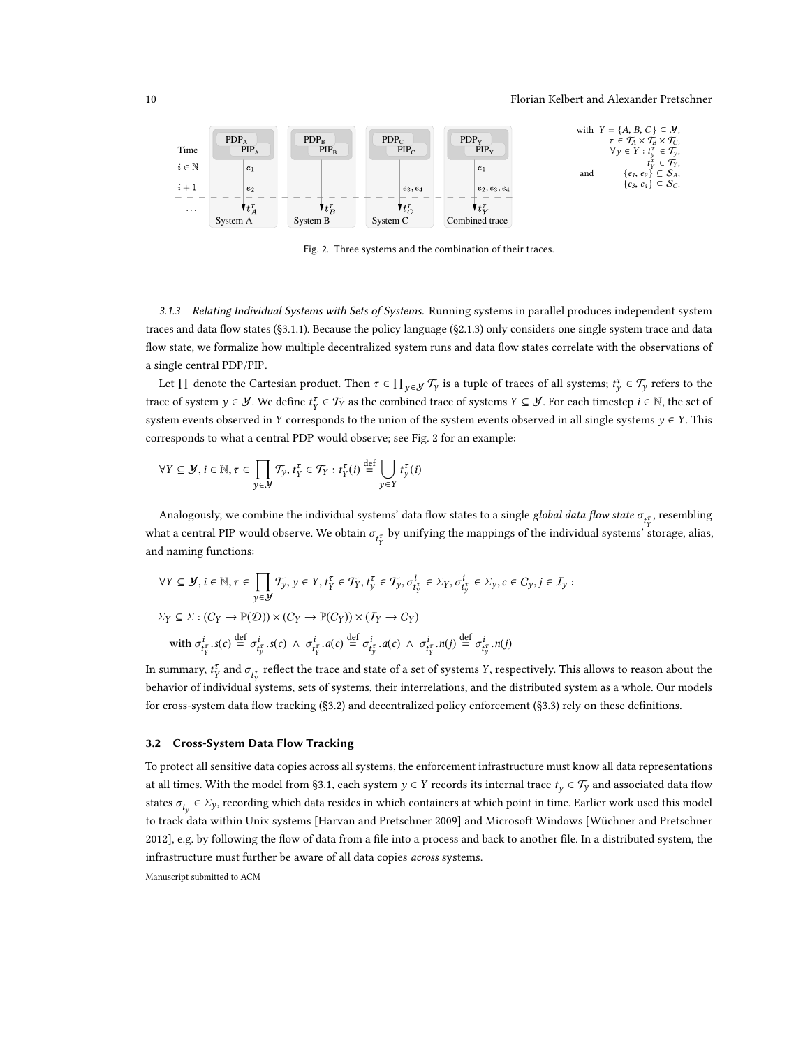#### 10 Florian Kelbert and Alexander Pretschner

<span id="page-9-2"></span>

Fig. 2. Three systems and the combination of their traces.

<span id="page-9-1"></span>3.1.3 Relating Individual Systems with Sets of Systems. Running systems in parallel produces independent system traces and data flow states ([§3.1.1\)](#page-8-2). Because the policy language ([§2.1.3\)](#page-5-0) only considers one single system trace and data flow state, we formalize how multiple decentralized system runs and data flow states correlate with the observations of a single central PDP/PIP.

Let  $\Pi$  denote the Cartesian product. Then  $\tau \in \Pi_{y \in \mathcal{Y}} \mathcal{T}_y$  is a tuple of traces of all systems;  $t_y^{\tau} \in \mathcal{T}_y$  refers to the trace of system  $y \in \mathcal{Y}$ . We define  $t_Y^{\tau} \in \mathcal{T}_Y$  as the combined trace of systems  $Y \subseteq \mathcal{Y}$ . For each timestep  $i \in \mathbb{N}$ , the set of system events observed in Y corresponds to the union of the system events observed in all single systems  $y \in Y$ . This corresponds to what a central PDP would observe; see Fig. [2](#page-9-2) for an example:

$$
\forall Y \subseteq \mathcal{Y}, i \in \mathbb{N}, \tau \in \prod_{y \in \mathcal{Y}} \mathcal{T}_y, t_Y^{\tau} \in \mathcal{T}_Y : t_Y^{\tau}(i) \stackrel{\text{def}}{=} \bigcup_{y \in Y} t_y^{\tau}(i)
$$

Analogously, we combine the individual systems' data flow states to a single *global data flow state*  $\sigma_{t^{\tau}_{Y}}$ , resembling what a central PIP would observe. We obtain  $\sigma_{t_Y^{\tau}}$  by unifying the mappings of the individual systems' storage, alias, and naming functions:

$$
\forall Y \subseteq \mathcal{Y}, i \in \mathbb{N}, \tau \in \prod_{y \in \mathcal{Y}} \mathcal{T}_y, y \in Y, t_Y^{\tau} \in \mathcal{T}_Y, t_y^{\tau} \in \mathcal{T}_y, \sigma_{t_Y^{\tau}}^i \in \Sigma_Y, \sigma_{t_Y^{\tau}}^i \in \Sigma_y, c \in C_y, j \in I_y :
$$
  

$$
\Sigma_Y \subseteq \Sigma : (C_Y \to \mathbb{P}(\mathcal{D})) \times (C_Y \to \mathbb{P}(C_Y)) \times (I_Y \to C_Y)
$$
  
with  $\sigma_{t_Y^{\tau}}^i.s(c) \stackrel{\text{def}}{=} \sigma_{t_Y^{\tau}}^i.s(c) \land \sigma_{t_Y^{\tau}}^i.a(c) \stackrel{\text{def}}{=} \sigma_{t_Y^{\tau}}^i.a(c) \land \sigma_{t_Y^{\tau}}^i.n(j) \stackrel{\text{def}}{=} \sigma_{t_Y^{\tau}}^i.n(j)$ 

In summary,  $t_Y^{\tau}$  and  $\sigma_{t_Y^{\tau}}$  reflect the trace and state of a set of systems Y, respectively. This allows to reason about the behavior of individual systems, sets of systems, their interrelations, and the distributed system as a whole. Our models for cross-system data flow tracking ([§3.2\)](#page-9-0) and decentralized policy enforcement ([§3.3\)](#page-12-0) rely on these definitions.

# <span id="page-9-0"></span>3.2 Cross-System Data Flow Tracking

To protect all sensitive data copies across all systems, the enforcement infrastructure must know all data representations at all times. With the model from [§3.1,](#page-8-1) each system  $y \in Y$  records its internal trace  $t<sub>y</sub> \in \mathcal{T}_y$  and associated data flow states  $\sigma_{t_y} \in \Sigma_y$ , recording which data resides in which containers at which point in time. Earlier work used this model to track data within Unix systems [\[Harvan and Pretschner 2009\]](#page-29-3) and Microsoft Windows [\[Wüchner and Pretschner](#page-30-9) [2012\]](#page-30-9), e.g. by following the flow of data from a file into a process and back to another file. In a distributed system, the infrastructure must further be aware of all data copies across systems.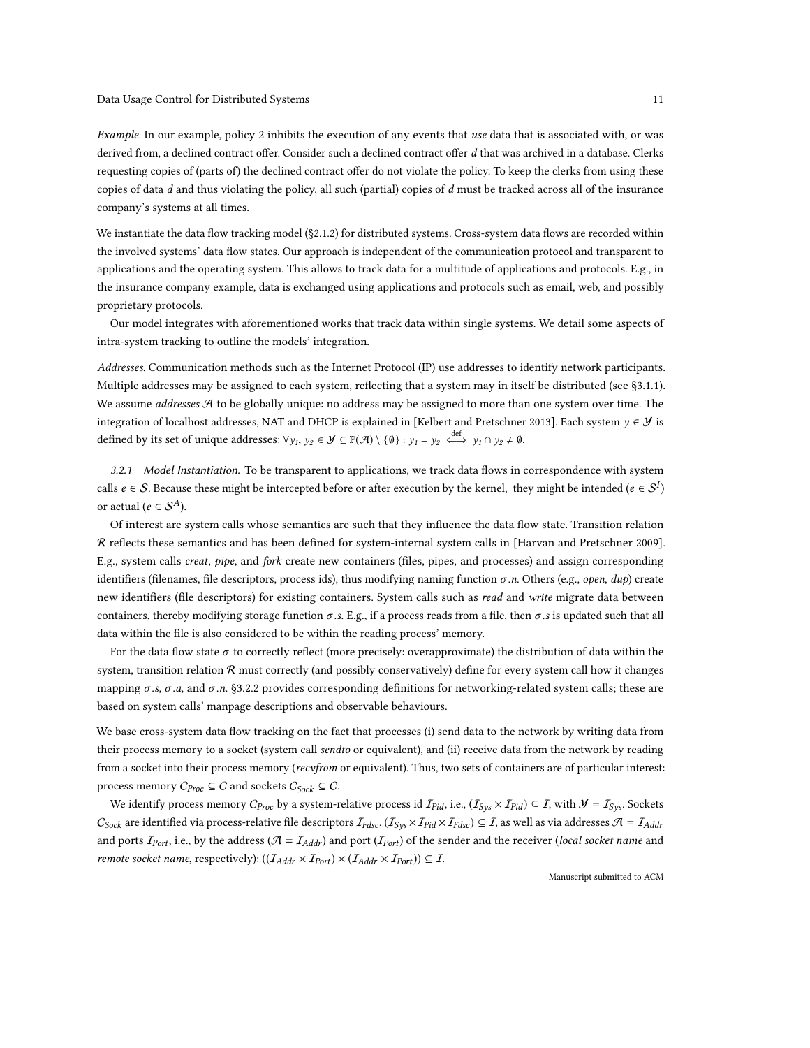Example. In our example, policy 2 inhibits the execution of any events that use data that is associated with, or was derived from, a declined contract offer. Consider such a declined contract offer d that was archived in a database. Clerks requesting copies of (parts of) the declined contract offer do not violate the policy. To keep the clerks from using these copies of data  $d$  and thus violating the policy, all such (partial) copies of  $d$  must be tracked across all of the insurance company's systems at all times.

We instantiate the data flow tracking model ([§2.1.2\)](#page-3-2) for distributed systems. Cross-system data flows are recorded within the involved systems' data flow states. Our approach is independent of the communication protocol and transparent to applications and the operating system. This allows to track data for a multitude of applications and protocols. E.g., in the insurance company example, data is exchanged using applications and protocols such as email, web, and possibly proprietary protocols.

Our model integrates with aforementioned works that track data within single systems. We detail some aspects of intra-system tracking to outline the models' integration.

Addresses. Communication methods such as the Internet Protocol (IP) use addresses to identify network participants. Multiple addresses may be assigned to each system, reflecting that a system may in itself be distributed (see [§3.1.1\)](#page-8-2). We assume *addresses*  $\mathcal A$  to be globally unique: no address may be assigned to more than one system over time. The integration of localhost addresses, NAT and DHCP is explained in [\[Kelbert and Pretschner 2013\]](#page-29-0). Each system  $y \in \mathcal{Y}$  is defined by its set of unique addresses:  $\forall y_1, y_2 \in \mathcal{Y} \subseteq \mathbb{P}(\mathcal{A}) \setminus \{0\} : y_1 = y_2 \stackrel{\text{def}}{\iff} y_1 \cap y_2 \neq \emptyset$ .

3.2.1 Model Instantiation. To be transparent to applications, we track data flows in correspondence with system calls  $e \in \mathcal{S}$ . Because these might be intercepted before or after execution by the kernel, they might be intended ( $e \in \mathcal{S}^I$ ) or actual ( $e \in S^A$ ).

Of interest are system calls whose semantics are such that they influence the data flow state. Transition relation R reflects these semantics and has been defined for system-internal system calls in [\[Harvan and Pretschner 2009\]](#page-29-3). E.g., system calls creat, pipe, and fork create new containers (files, pipes, and processes) and assign corresponding identifiers (filenames, file descriptors, process ids), thus modifying naming function  $\sigma.n$ . Others (e.g., open, dup) create new identifiers (file descriptors) for existing containers. System calls such as read and write migrate data between containers, thereby modifying storage function  $\sigma$ .s. E.g., if a process reads from a file, then  $\sigma$ .s is updated such that all data within the file is also considered to be within the reading process' memory.

For the data flow state  $\sigma$  to correctly reflect (more precisely: overapproximate) the distribution of data within the system, transition relation R must correctly (and possibly conservatively) define for every system call how it changes mapping  $\sigma$  .s,  $\sigma$  .a, and  $\sigma$  .n. [§3.2.2](#page-11-0) provides corresponding definitions for networking-related system calls; these are based on system calls' manpage descriptions and observable behaviours.

We base cross-system data flow tracking on the fact that processes (i) send data to the network by writing data from their process memory to a socket (system call sendto or equivalent), and (ii) receive data from the network by reading from a socket into their process memory (recvfrom or equivalent). Thus, two sets of containers are of particular interest: process memory  $C_{Proc} \subseteq C$  and sockets  $C_{Sock} \subseteq C$ .

We identify process memory  $C_{Proc}$  by a system-relative process id  $I_{Pid}$ , i.e.,  $(I_{Sys} \times I_{Pid}) \subseteq I$ , with  $\mathcal{Y} = I_{Sys}$ . Sockets  $C_{Sock}$  are identified via process-relative file descriptors  $I_{Fdsc}$ ,  $(I_{Sys} \times I_{Pids}) \subseteq I$ , as well as via addresses  $A = I_{Addr}$ and ports  $I_{Port}$ , i.e., by the address ( $A = I_{Addr}$ ) and port ( $I_{Port}$ ) of the sender and the receiver (local socket name and *remote socket name, respectively):*  $((I_{Addr} \times I_{Port}) \times (I_{Addr} \times I_{Port})) \subseteq I$ .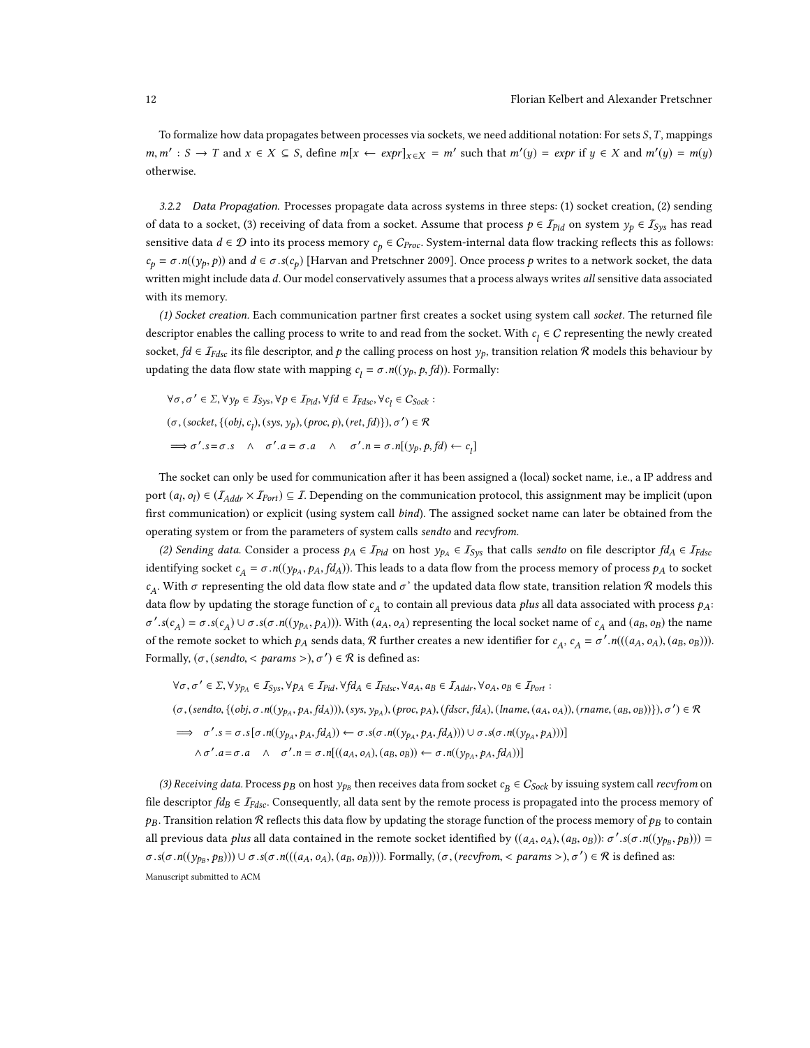To formalize how data propagates between processes via sockets, we need additional notation: For sets  $S, T$ , mappings  $m, m'$ : *S* → *T* and  $x \in X \subseteq S$ , define  $m[x \leftarrow expr]_{x \in X} = m'$  such that  $m'(y) = expr$  if  $y \in X$  and  $m'(y) = m(y)$ otherwise.

<span id="page-11-0"></span>3.2.2 Data Propagation. Processes propagate data across systems in three steps: (1) socket creation, (2) sending of data to a socket, (3) receiving of data from a socket. Assume that process  $p \in I_{Pid}$  on system  $y_p \in I_{Sys}$  has read sensitive data  $d \in \mathcal{D}$  into its process memory  $c_p \in C_{Proc}$ . System-internal data flow tracking reflects this as follows:  $c_p = \sigma \cdot n((y_p, p))$  and  $d \in \sigma \cdot s(c_p)$  [\[Harvan and Pretschner 2009\]](#page-29-3). Once process p writes to a network socket, the data written might include data d. Our model conservatively assumes that a process always writes all sensitive data associated with its memory.

(1) Socket creation. Each communication partner first creates a socket using system call socket. The returned file descriptor enables the calling process to write to and read from the socket. With  $c_l \in C$  representing the newly created socket,  $fd \in I_{Fdsc}$  its file descriptor, and p the calling process on host  $y_p$ , transition relation R models this behaviour by updating the data flow state with mapping  $c_l = \sigma.n((y_p, p, fd))$ . Formally:

$$
\forall \sigma, \sigma' \in \Sigma, \forall y_p \in I_{Sys}, \forall p \in I_{Pid}, \forall fd \in I_{Fdsc}, \forall c_l \in C_{Sock}:
$$
  

$$
(\sigma, (socket, \{(obj, c_l), (sys, y_p), (proc, p), (ret, fd)\}), \sigma') \in \mathcal{R}
$$
  

$$
\implies \sigma'.s = \sigma.s \quad \land \quad \sigma'.a = \sigma.a \quad \land \quad \sigma'.n = \sigma.n[(y_p, p, fd) \leftarrow c_l]
$$

The socket can only be used for communication after it has been assigned a (local) socket name, i.e., a IP address and port  $(a_l, o_l) \in (I_{Addr} \times I_{Port}) \subseteq I$ . Depending on the communication protocol, this assignment may be implicit (upon first communication) or explicit (using system call bind). The assigned socket name can later be obtained from the operating system or from the parameters of system calls sendto and recvfrom.

(2) Sending data. Consider a process  $p_A \in I_{Pid}$  on host  $y_{p_A} \in I_{Sys}$  that calls sendto on file descriptor  $fd_A \in I_{Fdsc}$ identifying socket  $c_A = \sigma \cdot n((y_{PA}, p_A, f_{AA}))$ . This leads to a data flow from the process memory of process  $p_A$  to socket  $c_A$ . With σ representing the old data flow state and σ' the updated data flow state, transition relation R models this data flow by updating the storage function of  $c_A$  to contain all previous data plus all data associated with process  $p_A$ :  $\mathcal{L} \cdot s(c_A) = \sigma \cdot s(c_A) \cup \sigma \cdot s(\sigma \cdot n((y_{pa}, p_A)))$ . With  $(a_A, o_A)$  representing the local socket name of  $c_A$  and  $(a_B, o_B)$  the name of the remote socket to which  $p_A$  sends data,  $R$  further creates a new identifier for  $c_A$ ,  $c_A = \sigma' \cdot n(((a_A, o_A), (a_B, o_B)))$ . Formally,  $(\sigma, (sendto, ), \sigma') \in \mathcal{R}$  is defined as:

$$
\forall \sigma, \sigma' \in \Sigma, \forall y_{p_A} \in I_{Sys}, \forall p_A \in I_{Pid}, \forall f d_A \in I_{Fdsc}, \forall a_A, a_B \in I_{Addr}, \forall o_A, o_B \in I_{Port} :
$$
  
\n
$$
(\sigma, (sendto, \{(obj, \sigma.n((y_{p_A}, p_A, fd_A))), (sys, y_{p_A}), (proc, p_A), (fdscr, fd_A), (lname, (a_A, o_A)), (rname, (a_B, o_B))\}), \sigma') \in \mathcal{R}
$$
  
\n
$$
\implies \sigma'.s = \sigma.s[\sigma.n((y_{p_A}, p_A, fd_A)) \leftarrow \sigma.s(\sigma.n((y_{p_A}, p_A, fd_A))) \cup \sigma.s(\sigma.n((y_{p_A}, p_A, fd)))]
$$
  
\n
$$
\wedge \sigma'.a = \sigma.a \quad \wedge \quad \sigma'.n = \sigma.n[((a_A, o_A), (a_B, o_B)) \leftarrow \sigma.n((y_{p_A}, p_A, fd_A))]
$$

(3) Receiving data. Process  $p_B$  on host  $y_{p_B}$  then receives data from socket  $c_B \in C_{Sock}$  by issuing system call recvfrom on file descriptor  $fd_B \in \mathcal{I}_{Fdsc}$ . Consequently, all data sent by the remote process is propagated into the process memory of  $p_B$ . Transition relation R reflects this data flow by updating the storage function of the process memory of  $p_B$  to contain all previous data plus all data contained in the remote socket identified by  $((a_A, o_A), (a_B, o_B))$ : σ' s(σ .n((y<sub>pB</sub>, p<sub>B</sub>))) =  $\sigma.s(\sigma.n((y_{p_B}, p_B))) \cup \sigma.s(\sigma.n(((a_A, o_A), (a_B, o_B))))$ . Formally,  $(\sigma, (recvfrom, < params >), \sigma') \in \mathcal{R}$  is defined as: Manuscript submitted to ACM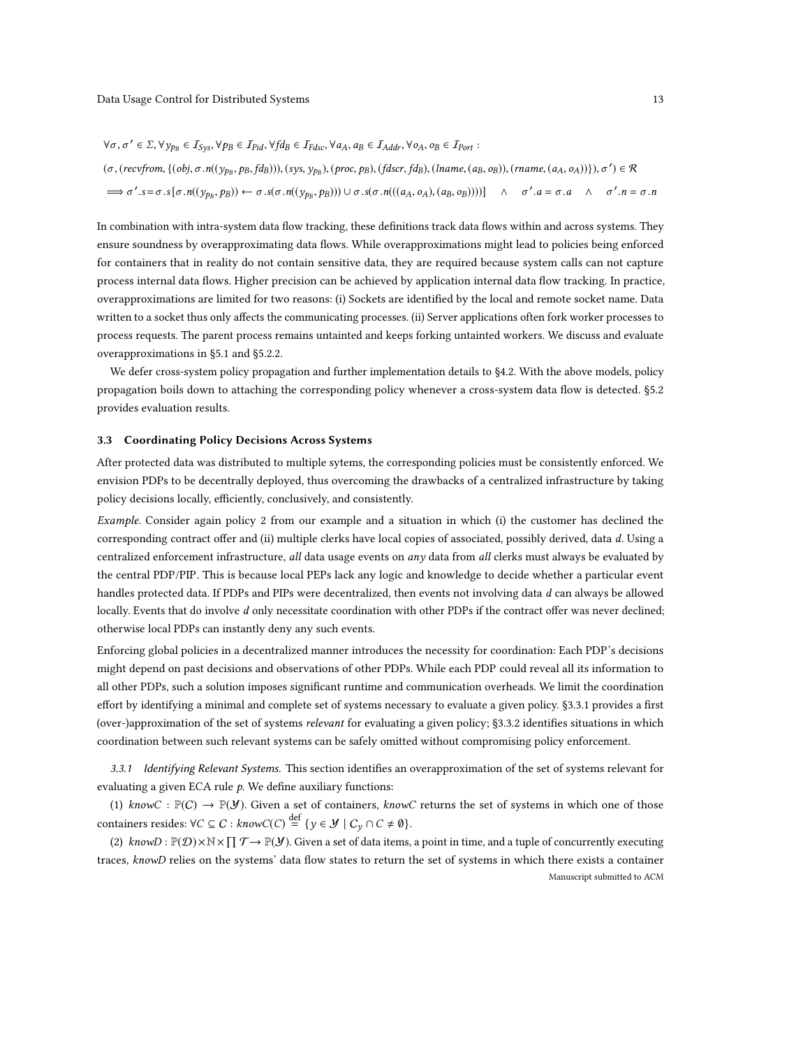$$
\forall \sigma, \sigma' \in \Sigma, \forall y_{p} \in I_{\text{Sys}}, \forall p \in I_{\text{Pid}}, \forall f d \in I_{\text{Fdsc}}, \forall a_A, a_B \in I_{\text{Addr}}, \forall o_A, o_B \in I_{\text{Port}}:
$$
  
\n
$$
(\sigma, (recv from, \{(obj, \sigma.n((y_{p}, p, \text{B}, \text{fd}_B))), (sys, y_{p}, (proc, \text{p}), (\text{fdscr}, \text{fd}_B), (lname, (a_B, o_B)), (rname, (a_A, o_A))\}), \sigma') \in \mathcal{R}
$$
  
\n
$$
\implies \sigma'.s = \sigma.s[\sigma.n((y_{p}, p, \text{p})) \leftarrow \sigma.s(\sigma.n((y_{p}, p, \text{p})) \cup \sigma.s(\sigma.n(((a_A, o_A), (a_B, o_B))))]\land \sigma'.a = \sigma.a \land \sigma'.n = \sigma.n
$$

In combination with intra-system data flow tracking, these definitions track data flows within and across systems. They ensure soundness by overapproximating data flows. While overapproximations might lead to policies being enforced for containers that in reality do not contain sensitive data, they are required because system calls can not capture process internal data flows. Higher precision can be achieved by application internal data flow tracking. In practice, overapproximations are limited for two reasons: (i) Sockets are identified by the local and remote socket name. Data written to a socket thus only affects the communicating processes. (ii) Server applications often fork worker processes to process requests. The parent process remains untainted and keeps forking untainted workers. We discuss and evaluate overapproximations in [§5.1](#page-19-1) and [§5.2.2.](#page-23-0)

We defer cross-system policy propagation and further implementation details to [§4.2.](#page-17-0) With the above models, policy propagation boils down to attaching the corresponding policy whenever a cross-system data flow is detected. [§5.2](#page-21-0) provides evaluation results.

#### <span id="page-12-0"></span>3.3 Coordinating Policy Decisions Across Systems

After protected data was distributed to multiple sytems, the corresponding policies must be consistently enforced. We envision PDPs to be decentrally deployed, thus overcoming the drawbacks of a centralized infrastructure by taking policy decisions locally, efficiently, conclusively, and consistently.

Example. Consider again policy 2 from our example and a situation in which (i) the customer has declined the corresponding contract offer and (ii) multiple clerks have local copies of associated, possibly derived, data d. Using a centralized enforcement infrastructure, all data usage events on any data from all clerks must always be evaluated by the central PDP/PIP. This is because local PEPs lack any logic and knowledge to decide whether a particular event handles protected data. If PDPs and PIPs were decentralized, then events not involving data d can always be allowed locally. Events that do involve d only necessitate coordination with other PDPs if the contract offer was never declined; otherwise local PDPs can instantly deny any such events.

Enforcing global policies in a decentralized manner introduces the necessity for coordination: Each PDP's decisions might depend on past decisions and observations of other PDPs. While each PDP could reveal all its information to all other PDPs, such a solution imposes significant runtime and communication overheads. We limit the coordination effort by identifying a minimal and complete set of systems necessary to evaluate a given policy. [§3.3.1](#page-12-1) provides a first (over-)approximation of the set of systems relevant for evaluating a given policy; [§3.3.2](#page-14-0) identifies situations in which coordination between such relevant systems can be safely omitted without compromising policy enforcement.

<span id="page-12-1"></span>3.3.1 Identifying Relevant Systems. This section identifies an overapproximation of the set of systems relevant for evaluating a given ECA rule  $p$ . We define auxiliary functions:

(1) knowC :  $\mathbb{P}(C) \to \mathbb{P}(V)$ . Given a set of containers, knowC returns the set of systems in which one of those containers resides:  $\forall C \subseteq C : \text{knowC}(C) \stackrel{\text{def}}{=} \{y \in \mathcal{Y} \mid C_y \cap C \neq \emptyset\}.$ 

(2)  $\text{knownD}: \mathbb{P}(\mathcal{D}) \times \mathbb{N} \times \prod \mathcal{T} \to \mathbb{P}(\mathcal{Y})$ . Given a set of data items, a point in time, and a tuple of concurrently executing traces, knowD relies on the systems' data flow states to return the set of systems in which there exists a container Manuscript submitted to ACM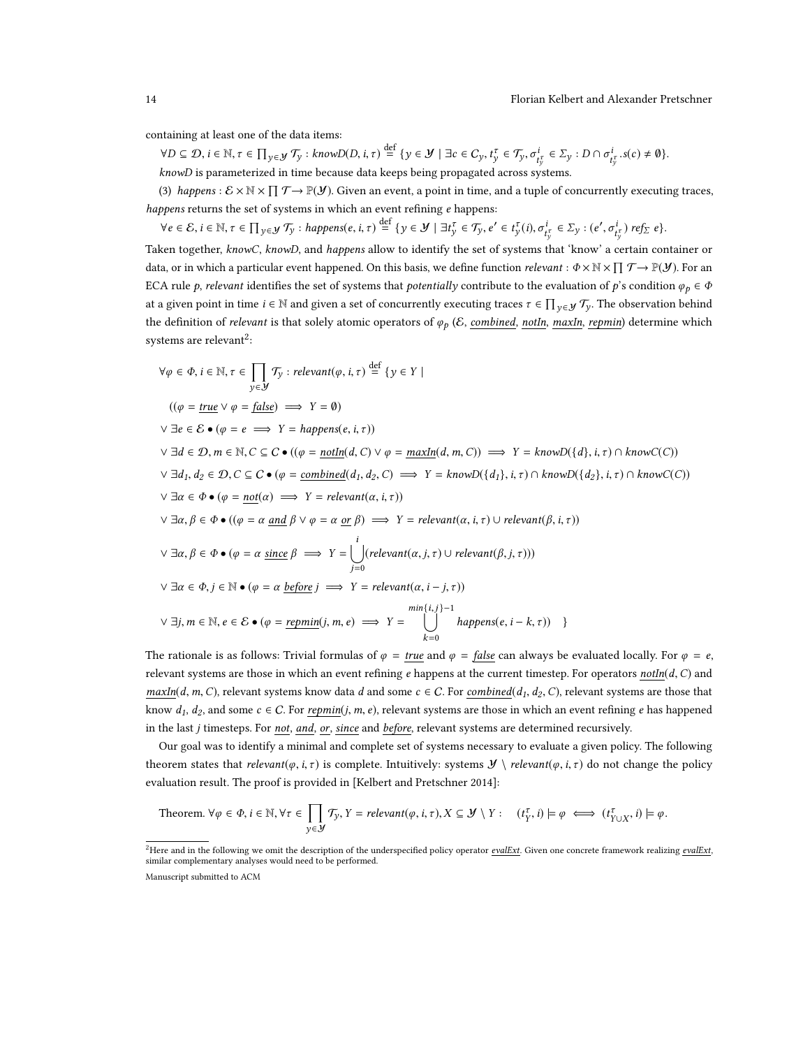containing at least one of the data items:

 $\forall D \subseteq \mathcal{D}, i \in \mathbb{N}, \tau \in \prod_{y \in \mathcal{Y}} \mathcal{T}_y : \text{know}D(D, i, \tau) \stackrel{\text{def}}{=} \{y \in \mathcal{Y} \mid \exists c \in C_y, t_y^\tau \in \mathcal{T}_y, \sigma_{t_y^\tau}^i \in \Sigma_y : D \cap \sigma_{t_y^\tau}^i, s(c) \neq \emptyset\}.$ knowD is parameterized in time because data keeps being propagated across systems.

(3) happens :  $\mathcal{E} \times \mathbb{N} \times \prod \mathcal{T} \to \mathbb{P}(\mathcal{Y})$ . Given an event, a point in time, and a tuple of concurrently executing traces, happens returns the set of systems in which an event refining e happens:

 $\forall e \in \mathcal{E}, i \in \mathbb{N}, \tau \in \prod_{y \in \mathcal{Y}} \mathcal{T}_y : \mathit{happens}(e, i, \tau) \stackrel{\text{def}}{=} \{y \in \mathcal{Y} \mid \exists t_y^{\tau} \in \mathcal{T}_y, e' \in t_y^{\tau}(i), \sigma_{t_y^{\tau}}^i \in \Sigma_y : (e' \in \mathcal{T}_y : \tau \in \mathcal{T}_y])\}$  $\overline{\mathcal{C}}$  $\int_{t_y^{\tau}}^{t}$ ) ref $_{\Sigma}$  e}.

Taken together, knowC, knowD, and happens allow to identify the set of systems that 'know' a certain container or data, or in which a particular event happened. On this basis, we define function *relevant* :  $\Phi \times \mathbb{N} \times \prod \mathcal{T} \to \mathbb{P}(\mathcal{Y})$ . For an ECA rule p, relevant identifies the set of systems that potentially contribute to the evaluation of p's condition  $\varphi_p \in \Phi$ at a given point in time  $i \in \mathbb{N}$  and given a set of concurrently executing traces  $\tau \in \prod_{y \in \mathcal{Y}} \mathcal{T}_y$ . The observation behind the definition of relevant is that solely atomic operators of  $\varphi_p$  (*E*, combined, notIn, maxIn, repmin) determine which systems are relevant<sup>[2](#page-13-0)</sup>:

$$
\forall \varphi \in \Phi, i \in \mathbb{N}, \tau \in \prod_{y \in \mathcal{Y}} \mathcal{T}_y : relevant(\varphi, i, \tau) \stackrel{\text{def}}{=} \{y \in Y \mid
$$
  
\n
$$
((\varphi = \underline{true} \lor \varphi = \underline{false}) \implies Y = \emptyset)
$$
  
\n
$$
\lor \exists d \in \mathcal{D}, m \in \mathbb{N}, C \subseteq C \bullet ((\varphi = \underline{nothing} \land \neg \exists \underline{init} \land \neg \underline{init} \land \neg \underline{init} \land \neg \underline{init} \land \neg \underline{init} \land \neg \underline{init} \land \neg \underline{init} \land \neg \underline{init} \land \neg \underline{init} \land \neg \underline{init} \land \neg \underline{init} \land \neg \underline{init} \land \neg \underline{init} \land \neg \underline{init} \land \neg \underline{init} \land \neg \underline{init} \land \neg \underline{init} \land \neg \underline{init} \land \neg \underline{init} \land \neg \underline{init} \land \neg \underline{init} \land \neg \underline{init} \land \neg \underline{init} \land \neg \underline{init} \land \neg \underline{init} \land \neg \underline{init} \land \neg \underline{init} \land \neg \underline{init} \land \neg \underline{init} \land \neg \underline{init} \land \neg \underline{init} \land \neg \underline{init} \land \neg \underline{init} \land \neg \underline{init} \land \neg \underline{init} \land \neg \underline{init} \land \neg \underline{init} \land \neg \underline{init} \land \neg \underline{init} \land \neg \underline{init} \land \neg \underline{init} \land \neg \underline{init} \land \neg \underline{init} \land \neg \underline{init} \land \neg \underline{init} \land \neg \underline{init} \land \neg \underline{init} \land \neg \underline{init} \land \neg \underline{init} \land \neg \underline{init} \land \neg \underline{init} \land \neg \underline{init} \land \neg \underline{init} \land \neg \underline{init} \land \neg \underline{init} \land \neg \underline{init} \land \neg \underline{init} \land \neg \underline{init} \land \neg \underline{init} \land \neg \underline{init} \land \neg \underline{init} \land \neg \underline{init} \land \neg \underline{init} \land \neg \underline{init} \land \neg \underline{init} \land \neg \underline{init} \land \neg
$$

The rationale is as follows: Trivial formulas of  $\varphi = \text{true}$  and  $\varphi = \text{false}$  can always be evaluated locally. For  $\varphi = e$ , relevant systems are those in which an event refining e happens at the current timestep. For operators not $In(d, C)$  and  $maxIn(A, m, C)$ , relevant systems know data d and some  $c \in C$ . For  $combined(d<sub>1</sub>, d<sub>2</sub>, C)$ , relevant systems are those that</u> know  $d_1, d_2$ , and some  $c \in C$ . For repmin(j, m, e), relevant systems are those in which an event refining e has happened in the last j timesteps. For not, and, or, since and before, relevant systems are determined recursively.

Our goal was to identify a minimal and complete set of systems necessary to evaluate a given policy. The following theorem states that relevant( $\varphi$ , i,  $\tau$ ) is complete. Intuitively: systems  $\mathcal{Y} \setminus \text{relevant}(\varphi, i, \tau)$  do not change the policy evaluation result. The proof is provided in [\[Kelbert and Pretschner 2014\]](#page-29-1):

Theorem. 
$$
\forall \varphi \in \Phi, i \in \mathbb{N}, \forall \tau \in \prod_{y \in \mathcal{Y}} \mathcal{T}_y, Y = \text{relevant}(\varphi, i, \tau), X \subseteq \mathcal{Y} \setminus Y : \quad (t_Y^{\tau}, i) \models \varphi \iff (t_{Y \cup X}^{\tau}, i) \models \varphi.
$$

<span id="page-13-0"></span><sup>&</sup>lt;sup>2</sup>Here and in the following we omit the description of the underspecified policy operator evalExt. Given one concrete framework realizing evalExt. similar complementary analyses would need to be performed.

Manuscript submitted to ACM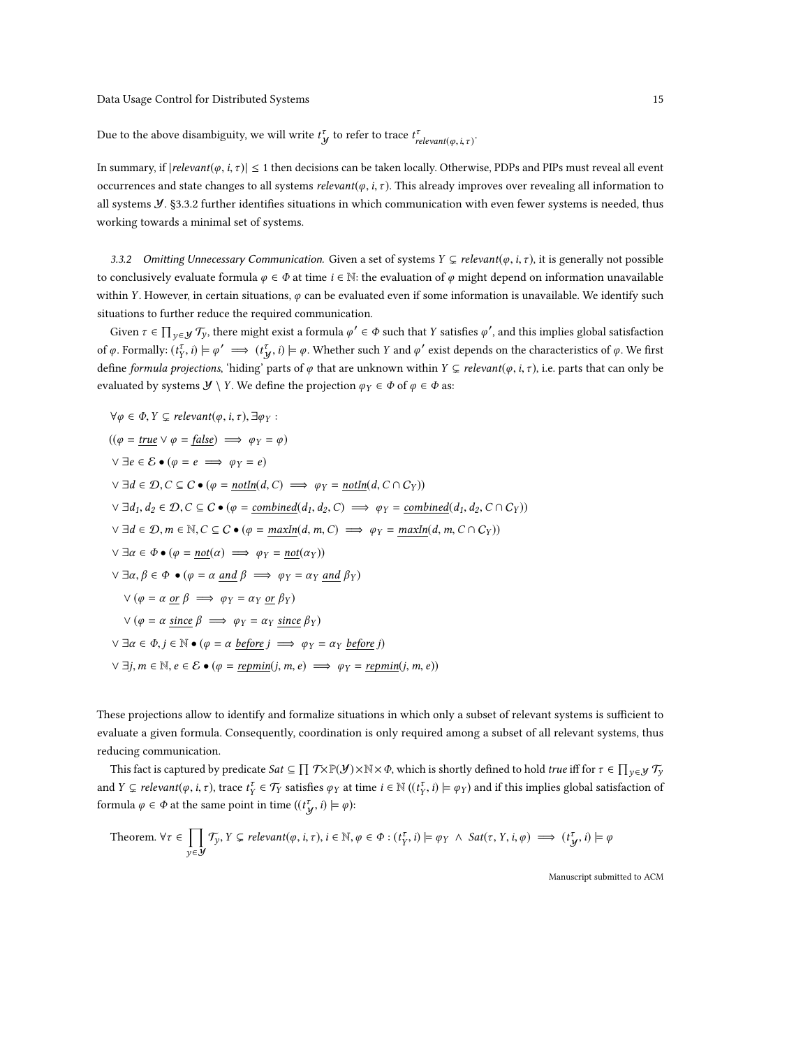Due to the above disambiguity, we will write  $t^{\tau}_{y}$  to refer to trace  $t^{\tau}_{relevant(\varphi,i,\tau)}$ .

In summary, if  $|relevant(\varphi, i, \tau)| \le 1$  then decisions can be taken locally. Otherwise, PDPs and PIPs must reveal all event occurrences and state changes to all systems relevant( $\varphi$ , i,  $\tau$ ). This already improves over revealing all information to all systems  $\cal Y$ . [§3.3.2](#page-14-0) further identifies situations in which communication with even fewer systems is needed, thus working towards a minimal set of systems.

<span id="page-14-0"></span>3.3.2 Omitting Unnecessary Communication. Given a set of systems  $Y \subsetneq$  relevant( $\varphi$ , i,  $\tau$ ), it is generally not possible to conclusively evaluate formula  $\varphi \in \Phi$  at time  $i \in \mathbb{N}$ : the evaluation of  $\varphi$  might depend on information unavailable within Y. However, in certain situations,  $\varphi$  can be evaluated even if some information is unavailable. We identify such situations to further reduce the required communication.

Given  $\tau \in \prod_{y \in \mathcal{Y}} \mathcal{T}_y$ , there might exist a formula  $\varphi' \in \Phi$  such that Y satisfies  $\varphi'$ , and this implies global satisfaction of  $\varphi$ . Formally:  $(t_Y^{\tau}, i) \models \varphi' \implies (t_Y^{\tau}, i) \models \varphi$ . Whether such Y and  $\varphi'$  exist depends on the characteristics of  $\varphi$ . We first define formula projections, 'hiding' parts of  $\varphi$  that are unknown within  $Y \subseteq relevant(\varphi, i, \tau)$ , i.e. parts that can only be evaluated by systems  $\mathcal{Y} \setminus Y$ . We define the projection  $\varphi_Y \in \Phi$  of  $\varphi \in \Phi$  as:

$$
\forall \varphi \in \Phi, Y \subseteq relevant(\varphi, i, \tau), \exists \varphi_Y :
$$
  
\n
$$
((\varphi = \underline{true} \lor \varphi = \underline{false}) \implies \varphi_Y = \varphi)
$$
  
\n
$$
\forall \exists e \in \mathcal{E} \bullet (\varphi = e \implies \varphi_Y = e)
$$
  
\n
$$
\forall \exists d \in \mathcal{D}, C \subseteq C \bullet (\varphi = \underline{notIn}(d, C) \implies \varphi_Y = \underline{notIn}(d, C \cap C_Y))
$$
  
\n
$$
\forall \exists d_1, d_2 \in \mathcal{D}, C \subseteq C \bullet (\varphi = \underline{combined}(d_1, d_2, C) \implies \varphi_Y = \underline{combined}(d_1, d_2, C \cap C_Y))
$$
  
\n
$$
\forall \exists d \in \mathcal{D}, m \in \mathbb{N}, C \subseteq C \bullet (\varphi = \underline{maxIn}(d, m, C) \implies \varphi_Y = \underline{maxIn}(d, m, C \cap C_Y))
$$
  
\n
$$
\forall \exists \alpha \in \Phi \bullet (\varphi = \underline{not}(\alpha) \implies \varphi_Y = \underline{not}(\alpha_Y))
$$
  
\n
$$
\forall \exists \alpha, \beta \in \Phi \bullet (\varphi = \alpha \underline{and} \beta \implies \varphi_Y = \alpha_Y \underline{and} \beta_Y)
$$
  
\n
$$
\forall (\varphi = \alpha \underline{or} \beta \implies \varphi_Y = \alpha_Y \underline{or} \beta_Y)
$$
  
\n
$$
\forall (\varphi = \alpha \underline{since} \beta \implies \varphi_Y = \alpha_Y \underline{since} \beta_Y)
$$
  
\n
$$
\forall \exists \alpha \in \Phi, j \in \mathbb{N} \bullet (\varphi = \alpha \underline{before} j \implies \varphi_Y = \alpha_Y \underline{before} j)
$$
  
\n
$$
\forall \exists j, m \in \mathbb{N}, e \in \mathcal{E} \bullet (\varphi = \underline{repmin}(j, m, e) \implies \varphi_Y = \underline{repmin}(j, m, e))
$$

These projections allow to identify and formalize situations in which only a subset of relevant systems is sufficient to evaluate a given formula. Consequently, coordination is only required among a subset of all relevant systems, thus reducing communication.

This fact is captured by predicate  $Sat \subseteq \prod_{\mathcal{Y}} \mathcal{T} \times \mathbb{P}(\mathcal{Y}) \times \mathbb{N} \times \Phi$ , which is shortly defined to hold *true* iff for  $\tau \in \prod_{\mathcal{Y} \in \mathcal{Y}} \mathcal{T}_{\mathcal{Y}}$ and  $Y \subsetneq$  relevant( $\varphi$ , i,  $\tau$ ), trace  $t_i^{\tau} \in \mathcal{T}_Y$  satisfies  $\varphi_Y$  at time  $i \in \mathbb{N}$  (( $t_i^{\tau}$ , i)  $\models \varphi_Y$ ) and if this implies global satisfaction of formula  $\varphi \in \Phi$  at the same point in time  $((t^{\tau}_{\mathbf{y}}, i) \models \varphi)$ :

Theorem. 
$$
\forall \tau \in \prod_{y \in \mathcal{Y}} \mathcal{T}_y, Y \subseteq \text{relevant}(\varphi, i, \tau), i \in \mathbb{N}, \varphi \in \Phi : (t_Y^{\tau}, i) \models \varphi_Y \land \text{Sat}(\tau, Y, i, \varphi) \implies (t_Y^{\tau}, i) \models \varphi
$$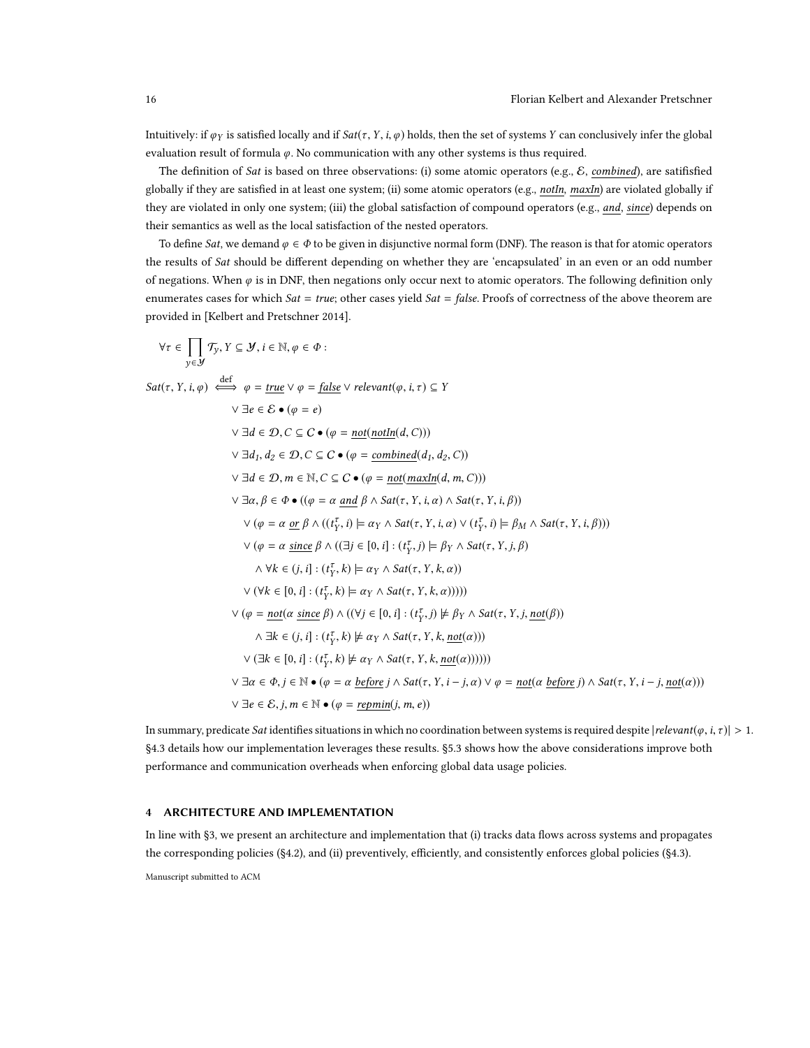Intuitively: if  $\varphi_Y$  is satisfied locally and if  $Sat(\tau, Y, i, \varphi)$  holds, then the set of systems Y can conclusively infer the global evaluation result of formula  $\varphi$ . No communication with any other systems is thus required.

The definition of Sat is based on three observations: (i) some atomic operators (e.g., E, combined), are satifisfied globally if they are satisfied in at least one system; (ii) some atomic operators (e.g., notIn, maxIn) are violated globally if they are violated in only one system; (iii) the global satisfaction of compound operators (e.g., and, since) depends on their semantics as well as the local satisfaction of the nested operators.

To define Sat, we demand  $\varphi \in \Phi$  to be given in disjunctive normal form (DNF). The reason is that for atomic operators the results of Sat should be different depending on whether they are 'encapsulated' in an even or an odd number of negations. When  $\varphi$  is in DNF, then negations only occur next to atomic operators. The following definition only enumerates cases for which  $Sat = true$ ; other cases yield  $Sat = false$ . Proofs of correctness of the above theorem are provided in [\[Kelbert and Pretschner 2014\]](#page-29-1).

$$
\forall \tau \in \prod_{y \in J} \mathcal{T}_y, Y \subseteq \mathcal{Y}, i \in \mathbb{N}, \varphi \in \Phi :
$$
  
\n
$$
Sat(\tau, Y, i, \varphi) \xrightarrow{\text{def}} \varphi = \underline{true} \vee \varphi = \underline{false} \vee \text{ relevant}(\varphi, i, \tau) \subseteq Y
$$
  
\n
$$
\forall \exists e \in \mathcal{E} \bullet (\varphi = e)
$$
  
\n
$$
\forall \exists d \in \mathcal{D}, C \subseteq \mathcal{C} \bullet (\varphi = \underline{\text{nont}(\text{notIn}(d, C))})
$$
  
\n
$$
\forall \exists d, d_2 \in \mathcal{D}, C \subseteq \mathcal{C} \bullet (\varphi = \underline{\text{nont}(\text{maxIn}(d, n, C))})
$$
  
\n
$$
\forall \exists d \in \mathcal{D}, m \in \mathbb{N}, C \subseteq \mathcal{C} \bullet (\varphi = \underline{\text{nont}(\text{maxIn}(d, m, C))})
$$
  
\n
$$
\forall \exists \alpha, \beta \in \Phi \bullet ((\varphi = \alpha \underline{\text{ and}} \beta \land \text{Sat}(\tau, Y, i, \alpha) \land \text{Sat}(\tau, Y, i, \beta))
$$
  
\n
$$
\forall (\varphi = \alpha \underline{\text{ or}} \beta \land ((t_1^T, i) \models \alpha_Y \land \text{Sat}(\tau, Y, i, \alpha) \lor (t_1^T, i) \models \beta_M \land \text{Sat}(\tau, Y, i, \beta)))
$$
  
\n
$$
\forall (\varphi = \alpha \underline{\text{ since}} \beta \land ((\exists j \in [0, i] : (t_j^T, j) \models \beta_Y \land \text{Sat}(\tau, Y, j, \beta))
$$
  
\n
$$
\land \forall k \in (j, i] : (t_j^T, k) \models \alpha_Y \land \text{Sat}(\tau, Y, k, \alpha)))
$$
  
\n
$$
\forall (\forall k \in [0, i] : (t_j^T, k) \models \alpha_Y \land \text{Sat}(\tau, Y, k, \alpha))))
$$
  
\n
$$
\forall (\varphi = \text{not}(a \text{ since } \beta) \land ((\forall j \in [0, i] : (t_j^T, j) \not\models \beta_Y \land \text{Sat}(\tau,
$$

In summary, predicate Sat identifies situations in which no coordination between systems is required despite  $|relevant(\varphi, i, \tau)| > 1$ . [§4.3](#page-18-0) details how our implementation leverages these results. [§5.3](#page-24-0) shows how the above considerations improve both performance and communication overheads when enforcing global data usage policies.

# <span id="page-15-0"></span>4 ARCHITECTURE AND IMPLEMENTATION

In line with [§3,](#page-8-0) we present an architecture and implementation that (i) tracks data flows across systems and propagates the corresponding policies ([§4.2\)](#page-17-0), and (ii) preventively, efficiently, and consistently enforces global policies ([§4.3\)](#page-18-0).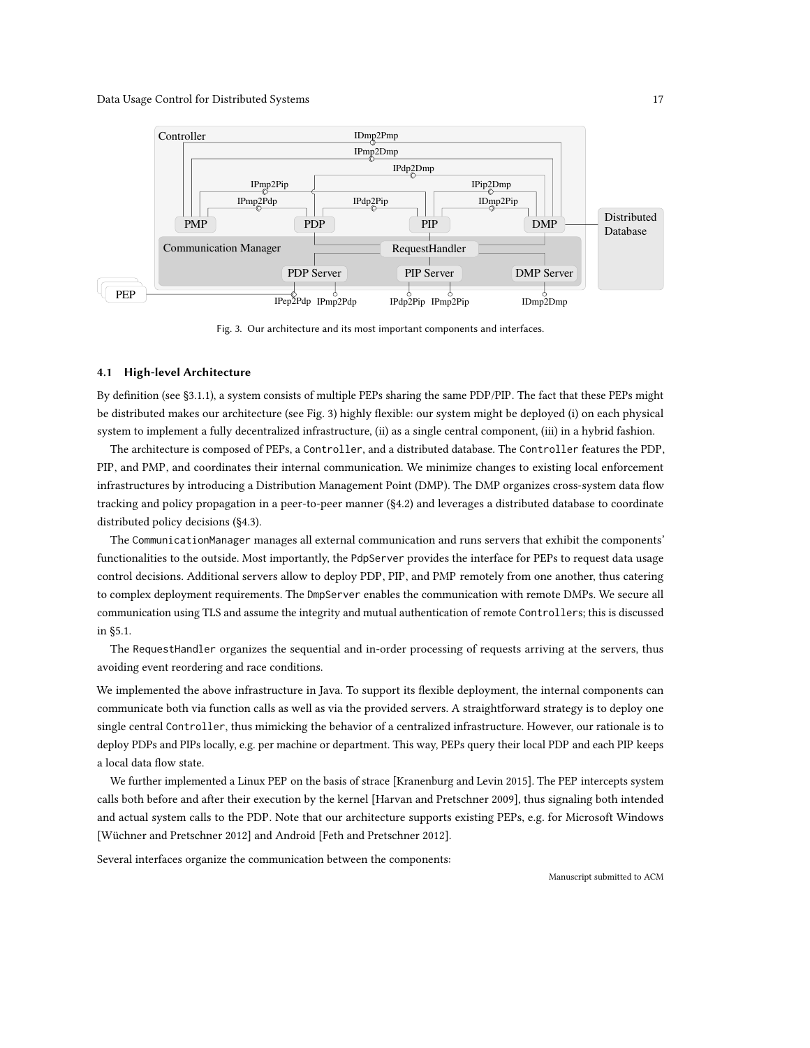<span id="page-16-0"></span>

Fig. 3. Our architecture and its most important components and interfaces.

### 4.1 High-level Architecture

By definition (see [§3.1.1\)](#page-8-2), a system consists of multiple PEPs sharing the same PDP/PIP. The fact that these PEPs might be distributed makes our architecture (see Fig. [3\)](#page-16-0) highly flexible: our system might be deployed (i) on each physical system to implement a fully decentralized infrastructure, (ii) as a single central component, (iii) in a hybrid fashion.

The architecture is composed of PEPs, a Controller, and a distributed database. The Controller features the PDP, PIP, and PMP, and coordinates their internal communication. We minimize changes to existing local enforcement infrastructures by introducing a Distribution Management Point (DMP). The DMP organizes cross-system data flow tracking and policy propagation in a peer-to-peer manner ([§4.2\)](#page-17-0) and leverages a distributed database to coordinate distributed policy decisions ([§4.3\)](#page-18-0).

The CommunicationManager manages all external communication and runs servers that exhibit the components' functionalities to the outside. Most importantly, the PdpServer provides the interface for PEPs to request data usage control decisions. Additional servers allow to deploy PDP, PIP, and PMP remotely from one another, thus catering to complex deployment requirements. The DmpServer enables the communication with remote DMPs. We secure all communication using TLS and assume the integrity and mutual authentication of remote Controllers; this is discussed in [§5.1.](#page-19-1)

The RequestHandler organizes the sequential and in-order processing of requests arriving at the servers, thus avoiding event reordering and race conditions.

We implemented the above infrastructure in Java. To support its flexible deployment, the internal components can communicate both via function calls as well as via the provided servers. A straightforward strategy is to deploy one single central Controller, thus mimicking the behavior of a centralized infrastructure. However, our rationale is to deploy PDPs and PIPs locally, e.g. per machine or department. This way, PEPs query their local PDP and each PIP keeps a local data flow state.

We further implemented a Linux PEP on the basis of strace [\[Kranenburg and Levin 2015\]](#page-29-8). The PEP intercepts system calls both before and after their execution by the kernel [\[Harvan and Pretschner 2009\]](#page-29-3), thus signaling both intended and actual system calls to the PDP. Note that our architecture supports existing PEPs, e.g. for Microsoft Windows [\[Wüchner and Pretschner 2012\]](#page-30-9) and Android [\[Feth and Pretschner 2012\]](#page-29-5).

Several interfaces organize the communication between the components: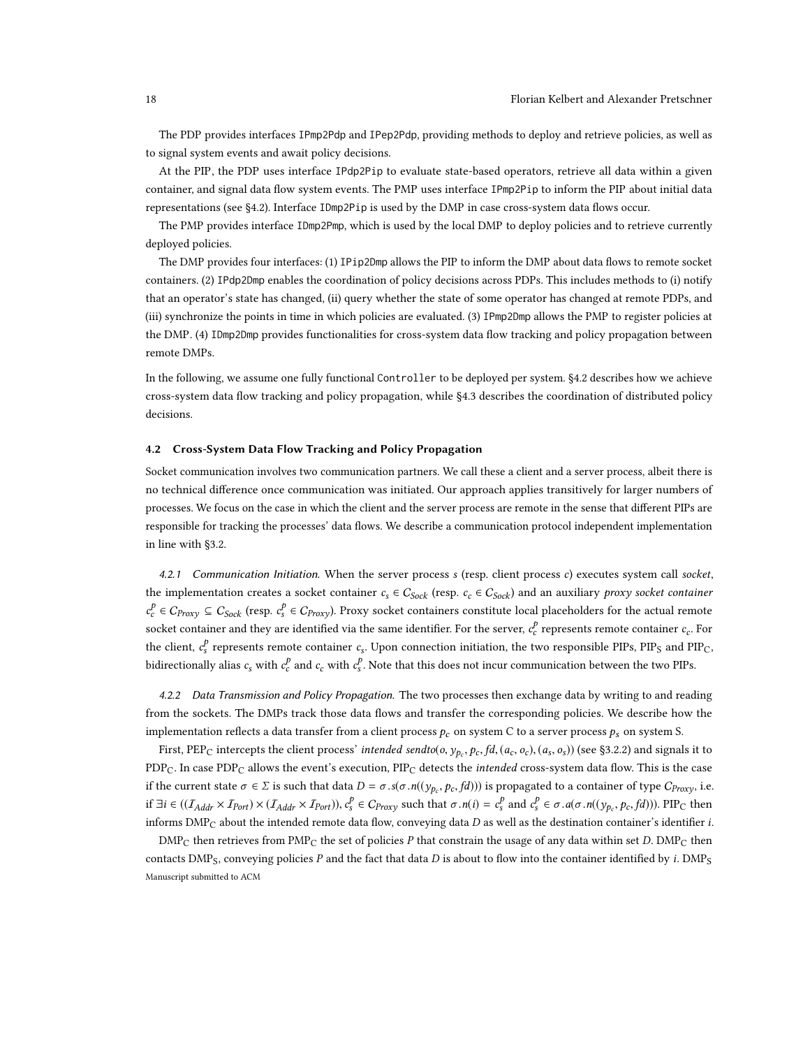The PDP provides interfaces IPmp2Pdp and IPep2Pdp, providing methods to deploy and retrieve policies, as well as to signal system events and await policy decisions.

At the PIP, the PDP uses interface IPdp2Pip to evaluate state-based operators, retrieve all data within a given container, and signal data flow system events. The PMP uses interface IPmp2Pip to inform the PIP about initial data representations (see [§4.2\)](#page-17-0). Interface IDmp2Pip is used by the DMP in case cross-system data flows occur.

The PMP provides interface IDmp2Pmp, which is used by the local DMP to deploy policies and to retrieve currently deployed policies.

The DMP provides four interfaces: (1) IPip2Dmp allows the PIP to inform the DMP about data flows to remote socket containers. (2) IPdp2Dmp enables the coordination of policy decisions across PDPs. This includes methods to (i) notify that an operator's state has changed, (ii) query whether the state of some operator has changed at remote PDPs, and (iii) synchronize the points in time in which policies are evaluated. (3) IPmp2Dmp allows the PMP to register policies at the DMP. (4) IDmp2Dmp provides functionalities for cross-system data flow tracking and policy propagation between remote DMPs.

In the following, we assume one fully functional Controller to be deployed per system. [§4.2](#page-17-0) describes how we achieve cross-system data flow tracking and policy propagation, while [§4.3](#page-18-0) describes the coordination of distributed policy decisions.

# <span id="page-17-0"></span>4.2 Cross-System Data Flow Tracking and Policy Propagation

Socket communication involves two communication partners. We call these a client and a server process, albeit there is no technical difference once communication was initiated. Our approach applies transitively for larger numbers of processes. We focus on the case in which the client and the server process are remote in the sense that different PIPs are responsible for tracking the processes' data flows. We describe a communication protocol independent implementation in line with [§3.2.](#page-9-0)

4.2.1 Communication Initiation. When the server process s (resp. client process c) executes system call socket, the implementation creates a socket container  $c_s \in C_{Sock}$  (resp.  $c_c \in C_{Sock}$ ) and an auxiliary proxy socket container  $c_c^p \in C_{Proxy} \subseteq C_{Sock}$  (resp.  $c_s^p \in C_{Proxy}$ ). Proxy socket containers constitute local placeholders for the actual remote socket container and they are identified via the same identifier. For the server,  $c_c^p$  represents remote container  $c_c$ . For the client,  $c_s^p$  represents remote container  $c_s$ . Upon connection initiation, the two responsible PIPs, PIP<sub>S</sub> and PIP<sub>C</sub>, bidirectionally alias  $c_s$  with  $c_c^p$  and  $c_c$  with  $c_s^p$ . Note that this does not incur communication between the two PIPs.

<span id="page-17-1"></span>4.2.2 Data Transmission and Policy Propagation. The two processes then exchange data by writing to and reading from the sockets. The DMPs track those data flows and transfer the corresponding policies. We describe how the implementation reflects a data transfer from a client process  $p_c$  on system C to a server process  $p_s$  on system S.

First, PEP<sub>C</sub> intercepts the client process' intended sendto(*o*,  $y_p$ ,  $p_c$ ,  $fd$ ,  $(a_c, o_c)$ ,  $(a_s, o_s)$ ) (see [§3.2.2\)](#page-11-0) and signals it to  $PDP_C$ . In case  $PDP_C$  allows the event's execution,  $PIP_C$  detects the *intended* cross-system data flow. This is the case if the current state  $\sigma \in \Sigma$  is such that data  $D = \sigma . s(\sigma.n((y_p_c, p_c, fd)))$  is propagated to a container of type  $C_{Proxy}$ , i.e. if ∃i ∈ (( $I_{Addr} \times I_{Port}$ ) × ( $I_{Addr} \times I_{Port}$ )),  $c_s^p \in C_{Proxy}$  such that  $\sigma \cdot n(i) = c_s^p$  and  $c_s^p \in \sigma \cdot a(\sigma \cdot n((y_{p_c}, p_c, fd))$ ). PIP<sub>C</sub> then informs  $DMP_C$  about the intended remote data flow, conveying data  $D$  as well as the destination container's identifier i.

 $\text{DMP}_C$  then retrieves from PMP<sub>C</sub> the set of policies P that constrain the usage of any data within set D.  $\text{DMP}_C$  then contacts DMP<sub>S</sub>, conveying policies P and the fact that data D is about to flow into the container identified by i. DMP<sub>S</sub> Manuscript submitted to ACM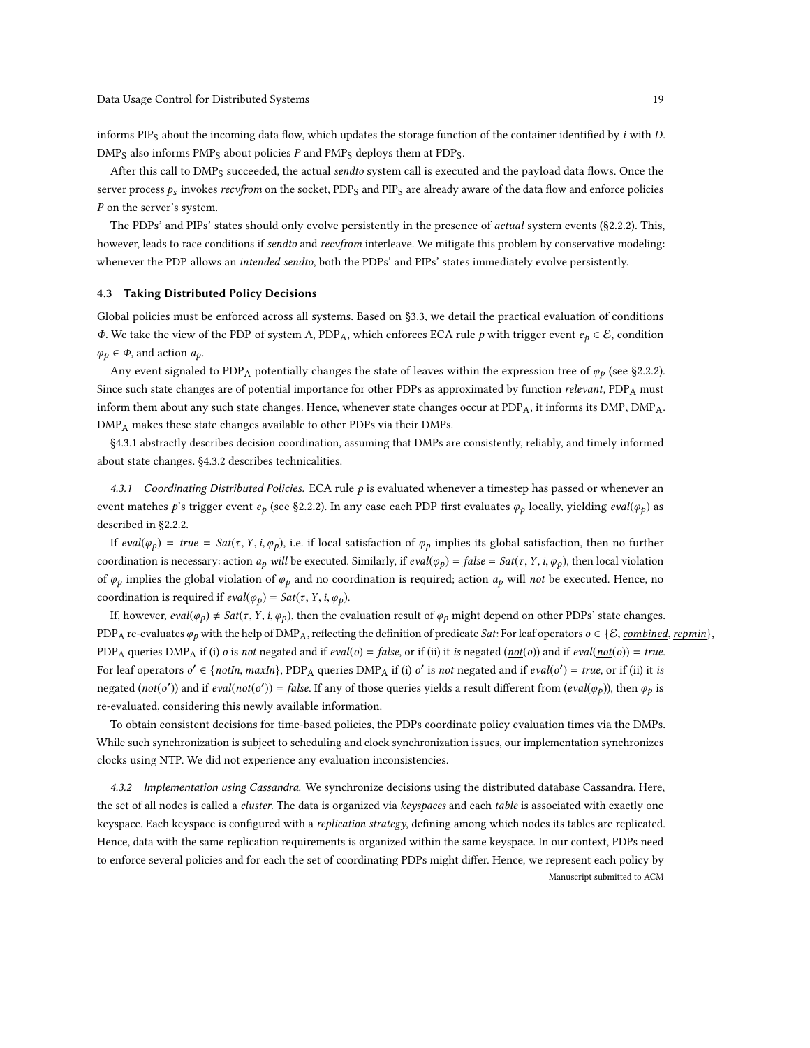informs PIP<sub>S</sub> about the incoming data flow, which updates the storage function of the container identified by  $i$  with  $D$ .  $\text{DMP}_S$  also informs  $\text{PMP}_S$  about policies P and  $\text{PMP}_S$  deploys them at  $\text{PDP}_S$ .

After this call to  $\text{DMP}_S$  succeeded, the actual sendto system call is executed and the payload data flows. Once the server process  $p_s$  invokes recvfrom on the socket, PDP<sub>S</sub> and PIP<sub>S</sub> are already aware of the data flow and enforce policies P on the server's system.

The PDPs' and PIPs' states should only evolve persistently in the presence of *actual* system events ([§2.2.2\)](#page-6-3). This, however, leads to race conditions if *sendto* and *recvfrom* interleave. We mitigate this problem by conservative modeling: whenever the PDP allows an intended sendto, both the PDPs' and PIPs' states immediately evolve persistently.

#### <span id="page-18-0"></span>4.3 Taking Distributed Policy Decisions

Global policies must be enforced across all systems. Based on [§3.3,](#page-12-0) we detail the practical evaluation of conditions Φ. We take the view of the PDP of system A, PDPA, which enforces ECA rule p with trigger event e<sup>p</sup> ∈ E, condition  $\varphi_p \in \Phi$ , and action  $a_p$ .

Any event signaled to PDP<sub>A</sub> potentially changes the state of leaves within the expression tree of  $\varphi_p$  (see [§2.2.2\)](#page-6-3). Since such state changes are of potential importance for other PDPs as approximated by function relevant,  $PDP_A$  must inform them about any such state changes. Hence, whenever state changes occur at  $PDP_A$ , it informs its  $DMP$ ,  $DMP_A$ .  $\text{DMP}_A$  makes these state changes available to other PDPs via their DMPs.

[§4.3.1](#page-18-1) abstractly describes decision coordination, assuming that DMPs are consistently, reliably, and timely informed about state changes. [§4.3.2](#page-18-2) describes technicalities.

<span id="page-18-1"></span>4.3.1 Coordinating Distributed Policies. ECA rule  $p$  is evaluated whenever a timestep has passed or whenever an event matches p's trigger event  $e_p$  (see [§2.2.2\)](#page-6-3). In any case each PDP first evaluates  $\varphi_p$  locally, yielding *eval*( $\varphi_p$ ) as described in [§2.2.2.](#page-6-3)

If eval( $\varphi_p$ ) = true = Sat( $\tau$ , Y, i,  $\varphi_p$ ), i.e. if local satisfaction of  $\varphi_p$  implies its global satisfaction, then no further coordination is necessary: action  $a_p$  will be executed. Similarly, if  $eval(\varphi_p) = false = Sat(\tau, Y, i, \varphi_p)$ , then local violation of  $\varphi_p$  implies the global violation of  $\varphi_p$  and no coordination is required; action  $a_p$  will not be executed. Hence, no coordination is required if  $eval(\varphi_p) = Sat(\tau, Y, i, \varphi_p)$ .

If, however,  $eval(\varphi_p) \neq Sat(\tau, Y, i, \varphi_p)$ , then the evaluation result of  $\varphi_p$  might depend on other PDPs' state changes. PDP<sub>A</sub> re-evaluates  $\varphi_p$  with the help of DMP<sub>A</sub>, reflecting the definition of predicate Sat: For leaf operators  $o \in \{\mathcal{E}, \text{combined}, \text{repmin}\},$ PDP<sub>A</sub> queries DMP<sub>A</sub> if (i) *o* is not negated and if *eval*(*o*) = false, or if (ii) it is negated (not(*o*)) and if *eval*(not(*o*)) = true. For leaf operators  $o' \in \{ \text{notIn}, \text{maxIn} \}$ , PDP<sub>A</sub> queries DMP<sub>A</sub> if (i) o' is not negated and if eval(o') = true, or if (ii) it is negated (not(o')) and if eval(not(o')) = false. If any of those queries yields a result different from (eval( $\varphi$ <sub>p</sub>)), then  $\varphi$ <sub>p</sub> is re-evaluated, considering this newly available information.

To obtain consistent decisions for time-based policies, the PDPs coordinate policy evaluation times via the DMPs. While such synchronization is subject to scheduling and clock synchronization issues, our implementation synchronizes clocks using NTP. We did not experience any evaluation inconsistencies.

<span id="page-18-2"></span>4.3.2 Implementation using Cassandra. We synchronize decisions using the distributed database Cassandra. Here, the set of all nodes is called a *cluster*. The data is organized via keyspaces and each table is associated with exactly one keyspace. Each keyspace is configured with a replication strategy, defining among which nodes its tables are replicated. Hence, data with the same replication requirements is organized within the same keyspace. In our context, PDPs need to enforce several policies and for each the set of coordinating PDPs might differ. Hence, we represent each policy by Manuscript submitted to ACM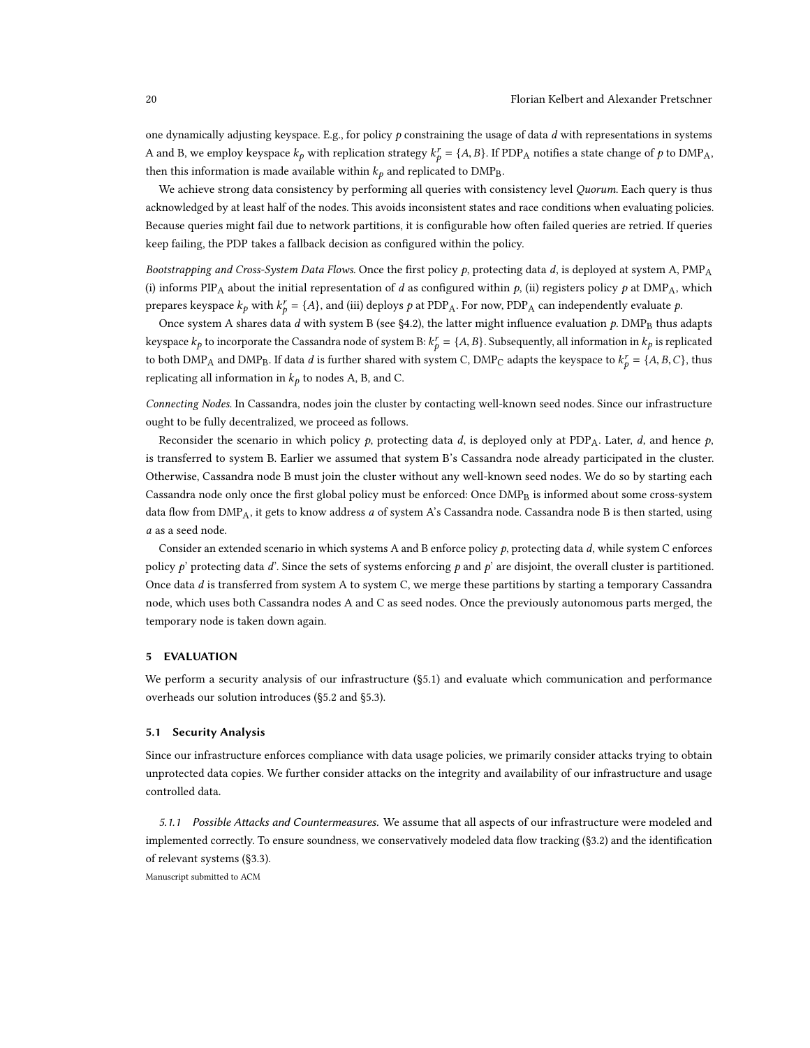one dynamically adjusting keyspace. E.g., for policy  $p$  constraining the usage of data  $d$  with representations in systems A and B, we employ keyspace  $k_p$  with replication strategy  $k_p^r = \{A, B\}$ . If PDP<sub>A</sub> notifies a state change of p to DMP<sub>A</sub>, then this information is made available within  $k_p$  and replicated to DMP<sub>B</sub>.

We achieve strong data consistency by performing all queries with consistency level Quorum. Each query is thus acknowledged by at least half of the nodes. This avoids inconsistent states and race conditions when evaluating policies. Because queries might fail due to network partitions, it is configurable how often failed queries are retried. If queries keep failing, the PDP takes a fallback decision as configured within the policy.

Bootstrapping and Cross-System Data Flows. Once the first policy  $p$ , protecting data  $d$ , is deployed at system A, PMP<sub>A</sub> (i) informs PIP<sub>A</sub> about the initial representation of d as configured within p, (ii) registers policy p at DMP<sub>A</sub>, which prepares keyspace  $k_p$  with  $k_p^r = \{A\}$ , and (iii) deploys p at PDP<sub>A</sub>. For now, PDP<sub>A</sub> can independently evaluate p.

Once system A shares data d with system B (see [§4.2\)](#page-17-0), the latter might influence evaluation  $p$ . DMP<sub>B</sub> thus adapts keyspace  $k_p$  to incorporate the Cassandra node of system B:  $k_p^r = \{A, B\}$ . Subsequently, all information in  $k_p$  is replicated to both DMP<sub>A</sub> and DMP<sub>B</sub>. If data *d* is further shared with system C, DMP<sub>C</sub> adapts the keyspace to  $k_p^r = \{A, B, C\}$ , thus replicating all information in  $k_p$  to nodes A, B, and C.

Connecting Nodes. In Cassandra, nodes join the cluster by contacting well-known seed nodes. Since our infrastructure ought to be fully decentralized, we proceed as follows.

Reconsider the scenario in which policy  $p$ , protecting data d, is deployed only at PDP<sub>A</sub>. Later, d, and hence  $p$ , is transferred to system B. Earlier we assumed that system B's Cassandra node already participated in the cluster. Otherwise, Cassandra node B must join the cluster without any well-known seed nodes. We do so by starting each Cassandra node only once the first global policy must be enforced: Once DMP<sub>B</sub> is informed about some cross-system data flow from  $DMP_A$ , it gets to know address a of system A's Cassandra node. Cassandra node B is then started, using a as a seed node.

Consider an extended scenario in which systems A and B enforce policy  $p$ , protecting data d, while system C enforces policy  $p'$  protecting data d'. Since the sets of systems enforcing p and p' are disjoint, the overall cluster is partitioned. Once data d is transferred from system A to system C, we merge these partitions by starting a temporary Cassandra node, which uses both Cassandra nodes A and C as seed nodes. Once the previously autonomous parts merged, the temporary node is taken down again.

### <span id="page-19-0"></span>5 EVALUATION

We perform a security analysis of our infrastructure ([§5.1\)](#page-19-1) and evaluate which communication and performance overheads our solution introduces ([§5.2](#page-21-0) and [§5.3\)](#page-24-0).

# <span id="page-19-1"></span>5.1 Security Analysis

Since our infrastructure enforces compliance with data usage policies, we primarily consider attacks trying to obtain unprotected data copies. We further consider attacks on the integrity and availability of our infrastructure and usage controlled data.

5.1.1 Possible Attacks and Countermeasures. We assume that all aspects of our infrastructure were modeled and implemented correctly. To ensure soundness, we conservatively modeled data flow tracking ([§3.2\)](#page-9-0) and the identification of relevant systems ([§3.3\)](#page-12-0).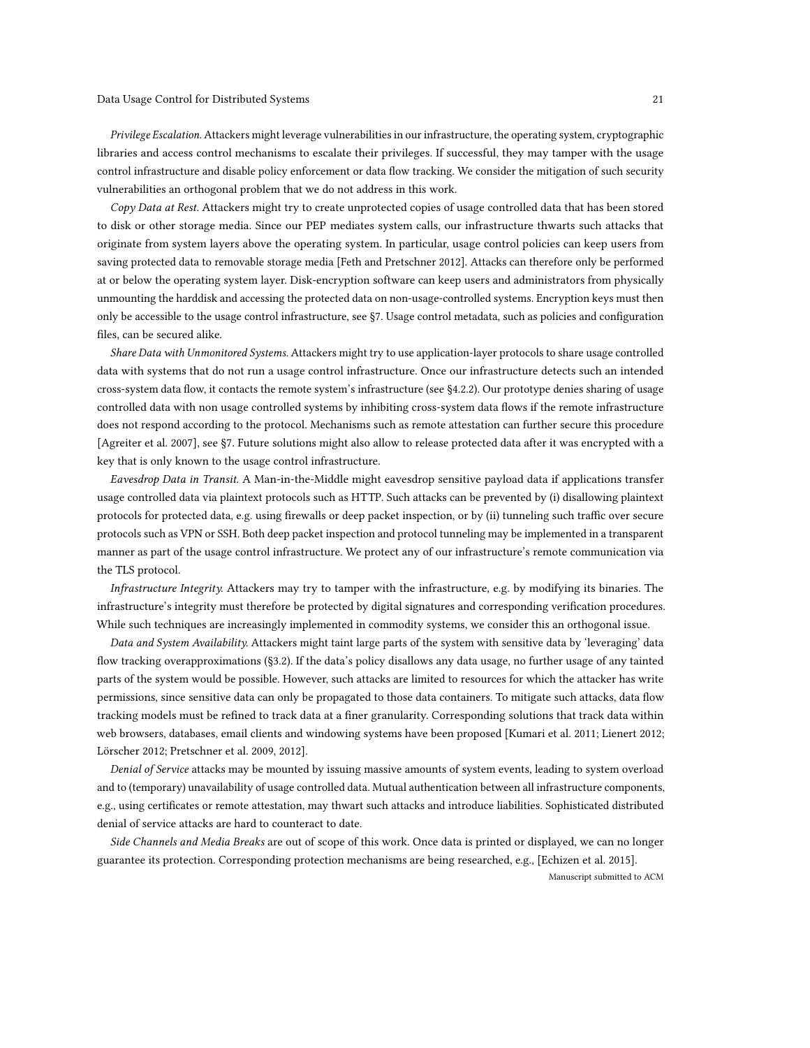Privilege Escalation. Attackers might leverage vulnerabilities in our infrastructure, the operating system, cryptographic libraries and access control mechanisms to escalate their privileges. If successful, they may tamper with the usage control infrastructure and disable policy enforcement or data flow tracking. We consider the mitigation of such security vulnerabilities an orthogonal problem that we do not address in this work.

Copy Data at Rest. Attackers might try to create unprotected copies of usage controlled data that has been stored to disk or other storage media. Since our PEP mediates system calls, our infrastructure thwarts such attacks that originate from system layers above the operating system. In particular, usage control policies can keep users from saving protected data to removable storage media [\[Feth and Pretschner 2012\]](#page-29-5). Attacks can therefore only be performed at or below the operating system layer. Disk-encryption software can keep users and administrators from physically unmounting the harddisk and accessing the protected data on non-usage-controlled systems. Encryption keys must then only be accessible to the usage control infrastructure, see [§7.](#page-27-2) Usage control metadata, such as policies and configuration files, can be secured alike.

Share Data with Unmonitored Systems. Attackers might try to use application-layer protocols to share usage controlled data with systems that do not run a usage control infrastructure. Once our infrastructure detects such an intended cross-system data flow, it contacts the remote system's infrastructure (see [§4.2.2\)](#page-17-1). Our prototype denies sharing of usage controlled data with non usage controlled systems by inhibiting cross-system data flows if the remote infrastructure does not respond according to the protocol. Mechanisms such as remote attestation can further secure this procedure [\[Agreiter et al.](#page-29-9) [2007\]](#page-29-9), see [§7.](#page-27-2) Future solutions might also allow to release protected data after it was encrypted with a key that is only known to the usage control infrastructure.

Eavesdrop Data in Transit. A Man-in-the-Middle might eavesdrop sensitive payload data if applications transfer usage controlled data via plaintext protocols such as HTTP. Such attacks can be prevented by (i) disallowing plaintext protocols for protected data, e.g. using firewalls or deep packet inspection, or by (ii) tunneling such traffic over secure protocols such as VPN or SSH. Both deep packet inspection and protocol tunneling may be implemented in a transparent manner as part of the usage control infrastructure. We protect any of our infrastructure's remote communication via the TLS protocol.

Infrastructure Integrity. Attackers may try to tamper with the infrastructure, e.g. by modifying its binaries. The infrastructure's integrity must therefore be protected by digital signatures and corresponding verification procedures. While such techniques are increasingly implemented in commodity systems, we consider this an orthogonal issue.

Data and System Availability. Attackers might taint large parts of the system with sensitive data by 'leveraging' data flow tracking overapproximations ([§3.2\)](#page-9-0). If the data's policy disallows any data usage, no further usage of any tainted parts of the system would be possible. However, such attacks are limited to resources for which the attacker has write permissions, since sensitive data can only be propagated to those data containers. To mitigate such attacks, data flow tracking models must be refined to track data at a finer granularity. Corresponding solutions that track data within web browsers, databases, email clients and windowing systems have been proposed [\[Kumari et al.](#page-30-4) [2011;](#page-30-4) [Lienert 2012;](#page-30-16) [Lörscher 2012;](#page-30-17) [Pretschner et al. 2009,](#page-30-8) [2012\]](#page-30-3).

Denial of Service attacks may be mounted by issuing massive amounts of system events, leading to system overload and to (temporary) unavailability of usage controlled data. Mutual authentication between all infrastructure components, e.g., using certificates or remote attestation, may thwart such attacks and introduce liabilities. Sophisticated distributed denial of service attacks are hard to counteract to date.

Side Channels and Media Breaks are out of scope of this work. Once data is printed or displayed, we can no longer guarantee its protection. Corresponding protection mechanisms are being researched, e.g., [\[Echizen et al. 2015\]](#page-29-10).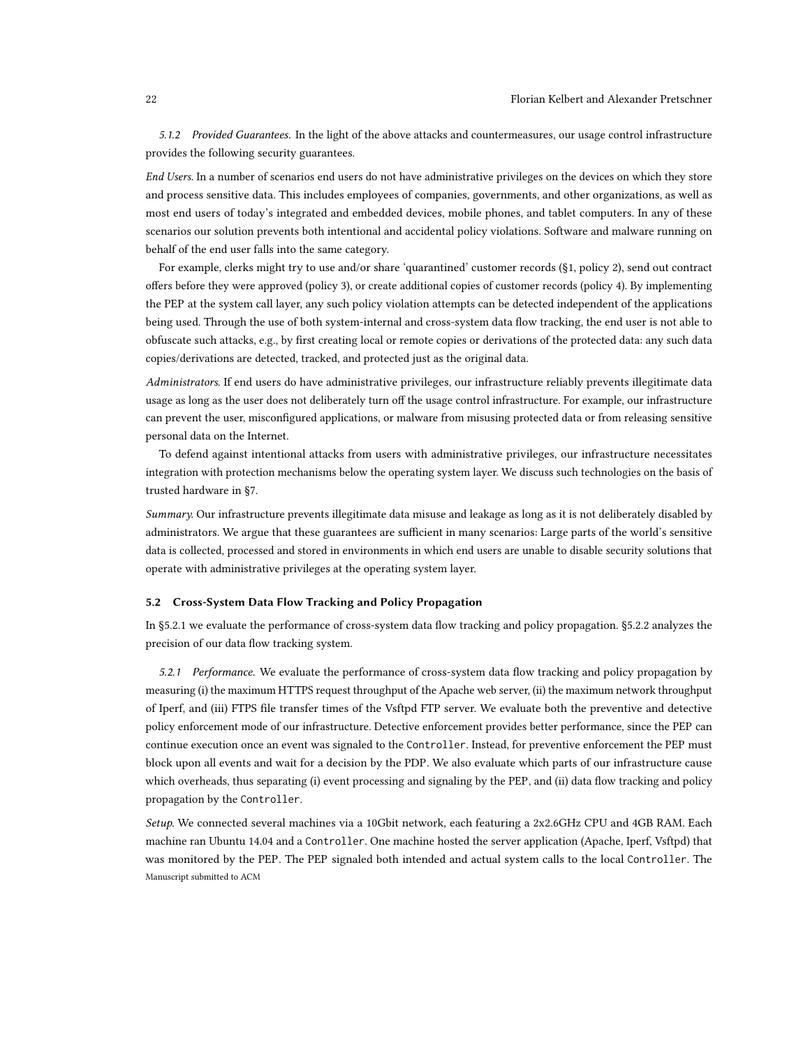5.1.2 Provided Guarantees. In the light of the above attacks and countermeasures, our usage control infrastructure provides the following security guarantees.

End Users. In a number of scenarios end users do not have administrative privileges on the devices on which they store and process sensitive data. This includes employees of companies, governments, and other organizations, as well as most end users of today's integrated and embedded devices, mobile phones, and tablet computers. In any of these scenarios our solution prevents both intentional and accidental policy violations. Software and malware running on behalf of the end user falls into the same category.

For example, clerks might try to use and/or share 'quarantined' customer records ([§1,](#page-0-0) policy 2), send out contract offers before they were approved (policy 3), or create additional copies of customer records (policy 4). By implementing the PEP at the system call layer, any such policy violation attempts can be detected independent of the applications being used. Through the use of both system-internal and cross-system data flow tracking, the end user is not able to obfuscate such attacks, e.g., by first creating local or remote copies or derivations of the protected data: any such data copies/derivations are detected, tracked, and protected just as the original data.

Administrators. If end users do have administrative privileges, our infrastructure reliably prevents illegitimate data usage as long as the user does not deliberately turn off the usage control infrastructure. For example, our infrastructure can prevent the user, misconfigured applications, or malware from misusing protected data or from releasing sensitive personal data on the Internet.

To defend against intentional attacks from users with administrative privileges, our infrastructure necessitates integration with protection mechanisms below the operating system layer. We discuss such technologies on the basis of trusted hardware in [§7.](#page-27-0)

Summary. Our infrastructure prevents illegitimate data misuse and leakage as long as it is not deliberately disabled by administrators. We argue that these guarantees are sufficient in many scenarios: Large parts of the world's sensitive data is collected, processed and stored in environments in which end users are unable to disable security solutions that operate with administrative privileges at the operating system layer.

# <span id="page-21-0"></span>5.2 Cross-System Data Flow Tracking and Policy Propagation

In [§5.2.1](#page-21-1) we evaluate the performance of cross-system data flow tracking and policy propagation. [§5.2.2](#page-23-0) analyzes the precision of our data flow tracking system.

<span id="page-21-1"></span>5.2.1 Performance. We evaluate the performance of cross-system data flow tracking and policy propagation by measuring (i) the maximum HTTPS request throughput of the Apache web server, (ii) the maximum network throughput of Iperf, and (iii) FTPS file transfer times of the Vsftpd FTP server. We evaluate both the preventive and detective policy enforcement mode of our infrastructure. Detective enforcement provides better performance, since the PEP can continue execution once an event was signaled to the Controller. Instead, for preventive enforcement the PEP must block upon all events and wait for a decision by the PDP. We also evaluate which parts of our infrastructure cause which overheads, thus separating (i) event processing and signaling by the PEP, and (ii) data flow tracking and policy propagation by the Controller.

Setup. We connected several machines via a 10Gbit network, each featuring a 2x2.6GHz CPU and 4GB RAM. Each machine ran Ubuntu 14.04 and a Controller. One machine hosted the server application (Apache, Iperf, Vsftpd) that was monitored by the PEP. The PEP signaled both intended and actual system calls to the local Controller. The Manuscript submitted to ACM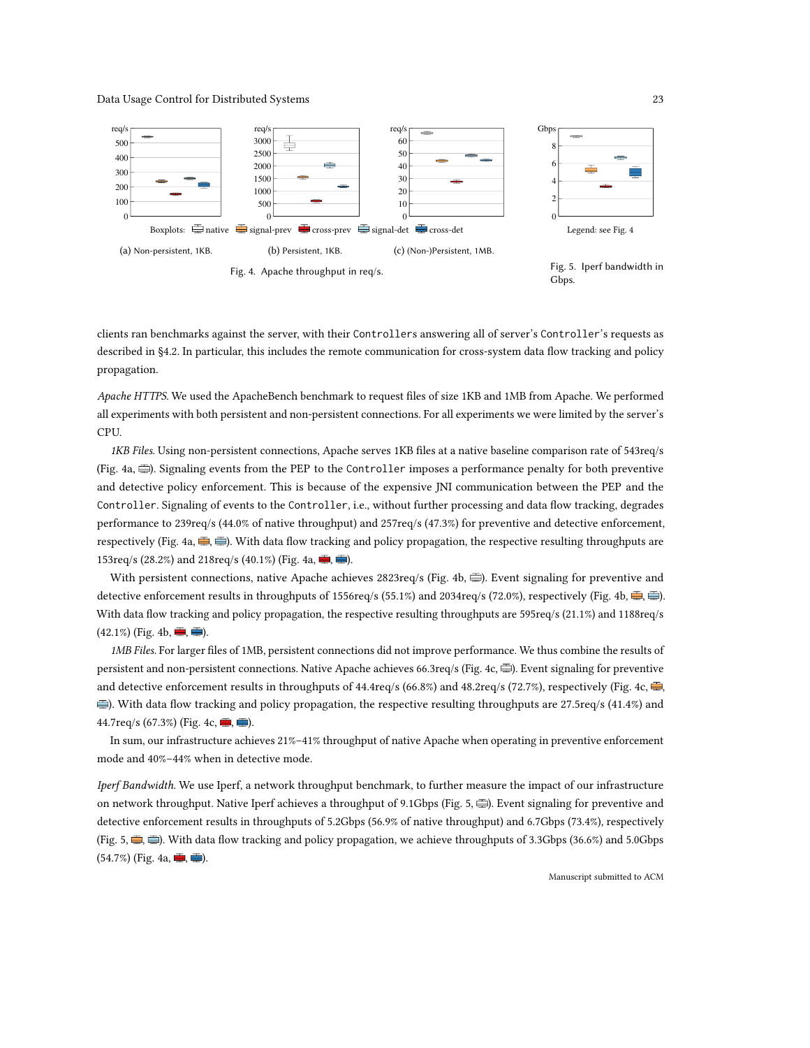<span id="page-22-0"></span>

clients ran benchmarks against the server, with their Controllers answering all of server's Controller's requests as described in [§4.2.](#page-17-0) In particular, this includes the remote communication for cross-system data flow tracking and policy propagation.

Apache HTTPS. We used the ApacheBench benchmark to request files of size 1KB and 1MB from Apache. We performed all experiments with both persistent and non-persistent connections. For all experiments we were limited by the server's CPU.

1KB Files. Using non-persistent connections, Apache serves 1KB files at a native baseline comparison rate of 543req/s (Fig. [4a,](#page-22-0)  $\equiv$ ). Signaling events from the PEP to the Controller imposes a performance penalty for both preventive and detective policy enforcement. This is because of the expensive JNI communication between the PEP and the Controller. Signaling of events to the Controller, i.e., without further processing and data flow tracking, degrades performance to 239req/s (44.0% of native throughput) and 257req/s (47.3%) for preventive and detective enforcement, respectively (Fig. [4a,](#page-22-0)  $\frac{m}{2}$ ,  $\frac{m}{m}$ ). With data flow tracking and policy propagation, the respective resulting throughputs are 153req/s (28.2%) and 218req/s (40.1%) (Fig. [4a,](#page-22-0)  $\equiv$ ,  $\equiv$ ).

With persistent connections, native Apache achieves 2823req/s (Fig. [4b,](#page-22-0)  $\equiv$ ). Event signaling for preventive and detective enforcement results in throughputs of 1556req/s (55.1%) and 2034req/s (72.0%), respectively (Fig. [4b,](#page-22-0)  $\equiv$ ,  $\equiv$ ). With data flow tracking and policy propagation, the respective resulting throughputs are 595req/s (21.1%) and 1188req/s  $(42.1\%)$  (Fig. [4b,](#page-22-0)  $\blacksquare$ ,  $\blacksquare$ ).

1MB Files. For larger files of 1MB, persistent connections did not improve performance. We thus combine the results of persistent and non-persistent connections. Native Apache achieves 66.3req/s (Fig. [4c,](#page-22-0)  $\equiv$ ). Event signaling for preventive and detective enforcement results in throughputs of 44.4req/s (66.8%) and 48.2req/s (72.7%), respectively (Fig. [4c,](#page-22-0)  $\frac{1}{\sqrt{2}}$ , ). With data flow tracking and policy propagation, the respective resulting throughputs are 27.5req/s (41.4%) and 44.7req/s (67.3%) (Fig. [4c,](#page-22-0)  $\blacksquare$ ,  $\blacksquare$ ).

In sum, our infrastructure achieves 21%–41% throughput of native Apache when operating in preventive enforcement mode and 40%–44% when in detective mode.

Iperf Bandwidth. We use Iperf, a network throughput benchmark, to further measure the impact of our infrastructure on network throughput. Native Iperf achieves a throughput of 9.1Gbps (Fig. [5,](#page-22-0)  $\equiv$ ). Event signaling for preventive and detective enforcement results in throughputs of 5.2Gbps (56.9% of native throughput) and 6.7Gbps (73.4%), respectively (Fig. [5,](#page-22-0)  $\Rightarrow$ ,  $\Rightarrow$ ). With data flow tracking and policy propagation, we achieve throughputs of 3.3Gbps (36.6%) and 5.0Gbps  $(54.7\%)$  (Fig. [4a,](#page-22-0)  $\blacksquare$ ,  $\blacksquare$ ).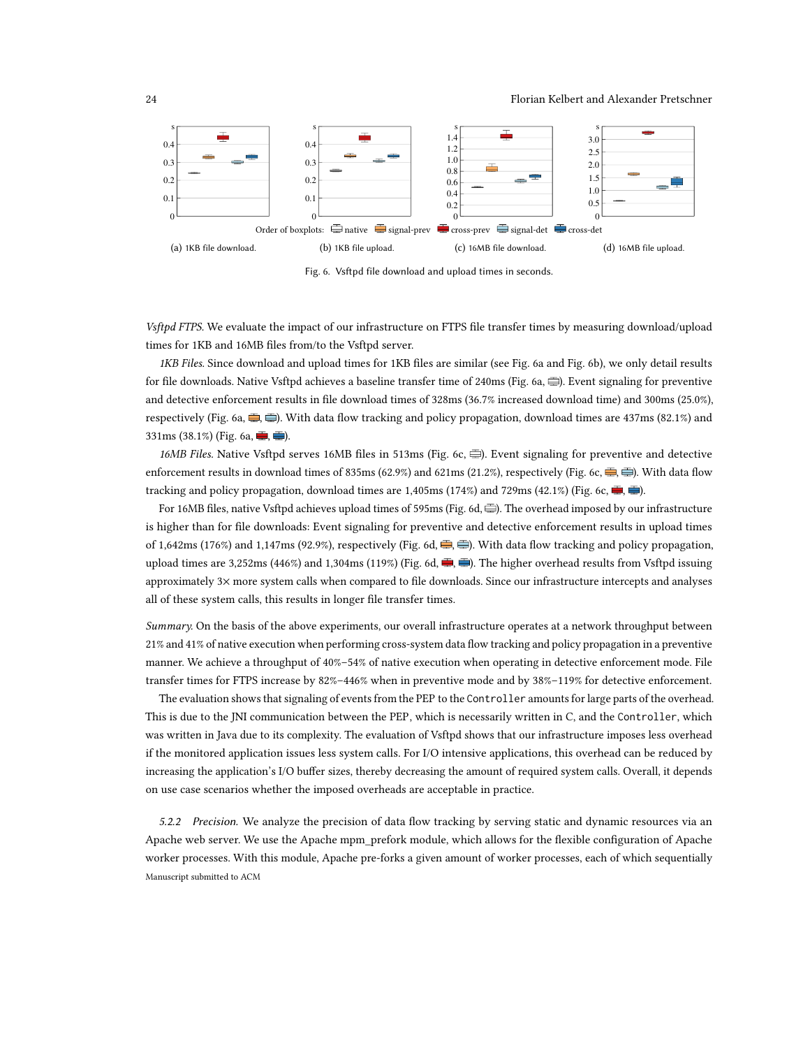24 Florian Kelbert and Alexander Pretschner

<span id="page-23-1"></span>

Fig. 6. Vsftpd file download and upload times in seconds.

Vsftpd FTPS. We evaluate the impact of our infrastructure on FTPS file transfer times by measuring download/upload times for 1KB and 16MB files from/to the Vsftpd server.

1KB Files. Since download and upload times for 1KB files are similar (see Fig. [6a](#page-23-1) and Fig. [6b\)](#page-23-1), we only detail results for file downloads. Native Vsftpd achieves a baseline transfer time of 240ms (Fig. [6a,](#page-23-1)  $\equiv$ ). Event signaling for preventive and detective enforcement results in file download times of 328ms (36.7% increased download time) and 300ms (25.0%), respectively (Fig. [6a,](#page-23-1)  $\Rightarrow$ ). With data flow tracking and policy propagation, download times are 437ms (82.1%) and 331ms (38.1%) (Fig. [6a,](#page-23-1)  $\equiv$ ,  $\equiv$ ).

16MB Files. Native Vsftpd serves 16MB files in 513ms (Fig. [6c,](#page-23-1)  $\oplus$ ). Event signaling for preventive and detective enforcement results in download times of 835ms (62.9%) and 621ms (21.2%), respectively (Fig. [6c,](#page-23-1)  $\equiv$ ,  $\equiv$ ). With data flow tracking and policy propagation, download times are 1,405ms (174%) and 729ms (42.1%) (Fig. [6c,](#page-23-1)  $\equiv$ ,  $\equiv$ ).

For 16MB files, native Vsftpd achieves upload times of 595ms (Fig. [6d,](#page-23-1)三). The overhead imposed by our infrastructure is higher than for file downloads: Event signaling for preventive and detective enforcement results in upload times of 1,642ms (176%) and 1,147ms (92.9%), respectively (Fig. [6d,](#page-23-1)  $\frac{m}{n}$ ,  $\frac{m}{n}$ ). With data flow tracking and policy propagation, upload times are 3,252ms (446%) and 1,304ms (119%) (Fig. [6d,](#page-23-1)  $\blacksquare$ ,  $\blacksquare$ ). The higher overhead results from Vsftpd issuing approximately 3× more system calls when compared to file downloads. Since our infrastructure intercepts and analyses all of these system calls, this results in longer file transfer times.

Summary. On the basis of the above experiments, our overall infrastructure operates at a network throughput between 21% and 41% of native execution when performing cross-system data flow tracking and policy propagation in a preventive manner. We achieve a throughput of 40%–54% of native execution when operating in detective enforcement mode. File transfer times for FTPS increase by 82%–446% when in preventive mode and by 38%–119% for detective enforcement.

The evaluation shows that signaling of events from the PEP to the Controller amounts for large parts of the overhead. This is due to the JNI communication between the PEP, which is necessarily written in C, and the Controller, which was written in Java due to its complexity. The evaluation of Vsftpd shows that our infrastructure imposes less overhead if the monitored application issues less system calls. For I/O intensive applications, this overhead can be reduced by increasing the application's I/O buffer sizes, thereby decreasing the amount of required system calls. Overall, it depends on use case scenarios whether the imposed overheads are acceptable in practice.

<span id="page-23-0"></span>5.2.2 Precision. We analyze the precision of data flow tracking by serving static and dynamic resources via an Apache web server. We use the Apache mpm\_prefork module, which allows for the flexible configuration of Apache worker processes. With this module, Apache pre-forks a given amount of worker processes, each of which sequentially Manuscript submitted to ACM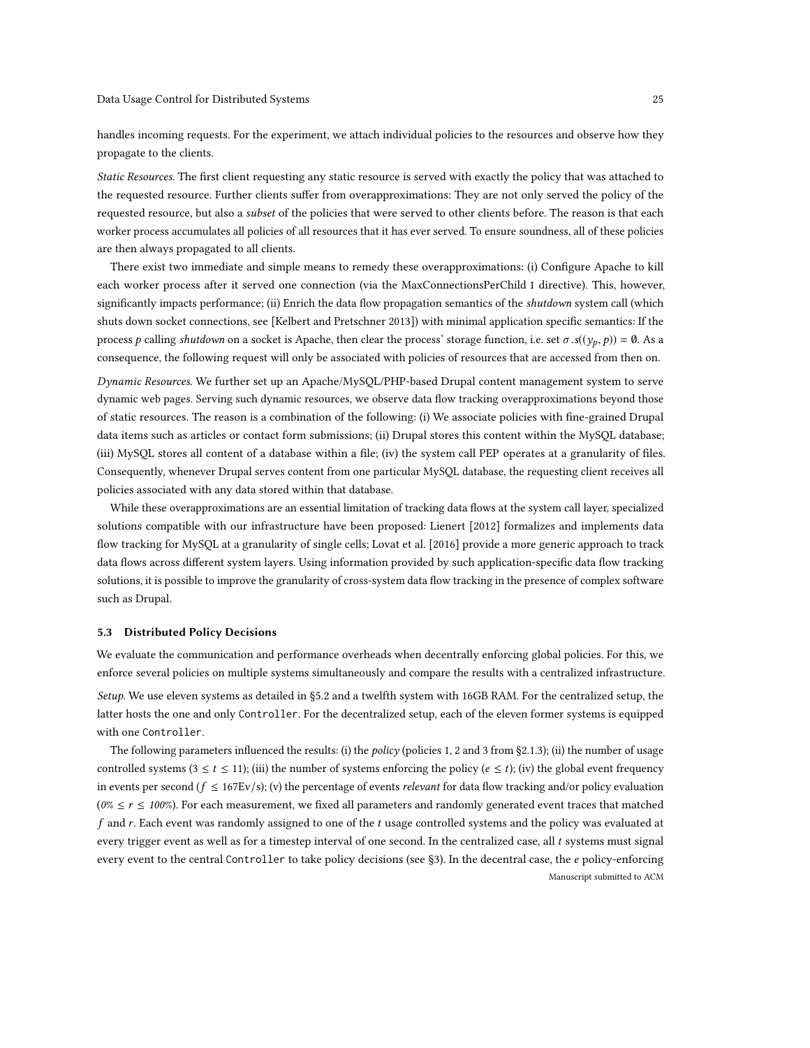handles incoming requests. For the experiment, we attach individual policies to the resources and observe how they propagate to the clients.

Static Resources. The first client requesting any static resource is served with exactly the policy that was attached to the requested resource. Further clients suffer from overapproximations: They are not only served the policy of the requested resource, but also a subset of the policies that were served to other clients before. The reason is that each worker process accumulates all policies of all resources that it has ever served. To ensure soundness, all of these policies are then always propagated to all clients.

There exist two immediate and simple means to remedy these overapproximations: (i) Configure Apache to kill each worker process after it served one connection (via the MaxConnectionsPerChild 1 directive). This, however, significantly impacts performance; (ii) Enrich the data flow propagation semantics of the shutdown system call (which shuts down socket connections, see [\[Kelbert and Pretschner 2013\]](#page-29-0)) with minimal application specific semantics: If the process *p* calling shutdown on a socket is Apache, then clear the process' storage function, i.e. set  $\sigma$ .s(( $y_p$ , *p*)) = 0. As a consequence, the following request will only be associated with policies of resources that are accessed from then on.

Dynamic Resources. We further set up an Apache/MySQL/PHP-based Drupal content management system to serve dynamic web pages. Serving such dynamic resources, we observe data flow tracking overapproximations beyond those of static resources. The reason is a combination of the following: (i) We associate policies with fine-grained Drupal data items such as articles or contact form submissions; (ii) Drupal stores this content within the MySQL database; (iii) MySQL stores all content of a database within a file; (iv) the system call PEP operates at a granularity of files. Consequently, whenever Drupal serves content from one particular MySQL database, the requesting client receives all policies associated with any data stored within that database.

While these overapproximations are an essential limitation of tracking data flows at the system call layer, specialized solutions compatible with our infrastructure have been proposed: [Lienert](#page-30-16) [\[2012\]](#page-30-16) formalizes and implements data flow tracking for MySQL at a granularity of single cells; [Lovat et al.](#page-30-10) [\[2016\]](#page-30-10) provide a more generic approach to track data flows across different system layers. Using information provided by such application-specific data flow tracking solutions, it is possible to improve the granularity of cross-system data flow tracking in the presence of complex software such as Drupal.

# <span id="page-24-0"></span>5.3 Distributed Policy Decisions

We evaluate the communication and performance overheads when decentrally enforcing global policies. For this, we enforce several policies on multiple systems simultaneously and compare the results with a centralized infrastructure. Setup. We use eleven systems as detailed in [§5.2](#page-21-0) and a twelfth system with 16GB RAM. For the centralized setup, the latter hosts the one and only Controller. For the decentralized setup, each of the eleven former systems is equipped with one Controller.

The following parameters influenced the results: (i) the *policy* (policies 1, 2 and 3 from [§2.1.3\)](#page-5-0); (ii) the number of usage controlled systems ( $3 \le t \le 11$ ); (iii) the number of systems enforcing the policy ( $e \le t$ ); (iv) the global event frequency in events per second ( $f \le 167Ev/s$ ); (v) the percentage of events *relevant* for data flow tracking and/or policy evaluation ( $0\% \le r \le 100\%$ ). For each measurement, we fixed all parameters and randomly generated event traces that matched f and r. Each event was randomly assigned to one of the t usage controlled systems and the policy was evaluated at every trigger event as well as for a timestep interval of one second. In the centralized case, all t systems must signal every event to the central Controller to take policy decisions (see [§3\)](#page-8-0). In the decentral case, the e policy-enforcing Manuscript submitted to ACM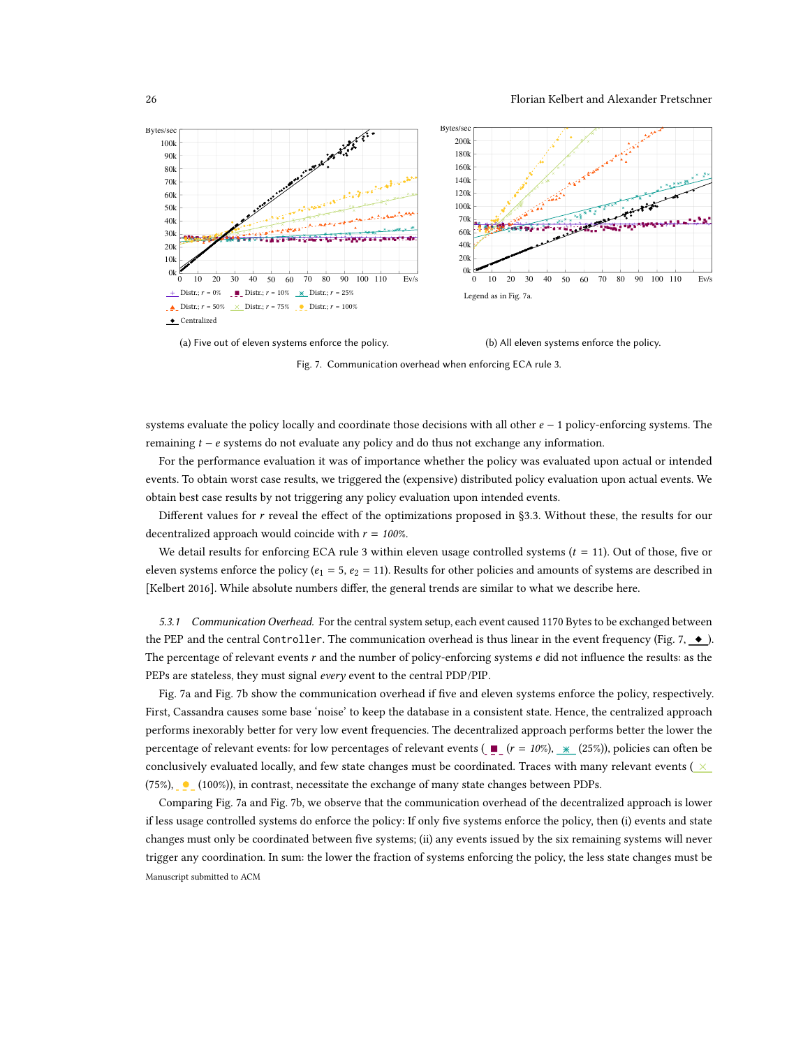<span id="page-25-0"></span>

(a) Five out of eleven systems enforce the policy. (b) All eleven systems enforce the policy.

Fig. 7. Communication overhead when enforcing ECA rule 3.

systems evaluate the policy locally and coordinate those decisions with all other  $e - 1$  policy-enforcing systems. The remaining  $t - e$  systems do not evaluate any policy and do thus not exchange any information.

For the performance evaluation it was of importance whether the policy was evaluated upon actual or intended events. To obtain worst case results, we triggered the (expensive) distributed policy evaluation upon actual events. We obtain best case results by not triggering any policy evaluation upon intended events.

Different values for r reveal the effect of the optimizations proposed in [§3.3.](#page-12-0) Without these, the results for our decentralized approach would coincide with  $r = 100\%$ .

We detail results for enforcing ECA rule 3 within eleven usage controlled systems  $(t = 11)$ . Out of those, five or eleven systems enforce the policy ( $e_1 = 5$ ,  $e_2 = 11$ ). Results for other policies and amounts of systems are described in [\[Kelbert 2016\]](#page-29-11). While absolute numbers differ, the general trends are similar to what we describe here.

5.3.1 Communication Overhead. For the central system setup, each event caused 1170 Bytes to be exchanged between the PEP and the central Controller. The communication overhead is thus linear in the event frequency (Fig. [7,](#page-25-0)  $\bullet$ ). The percentage of relevant events  $r$  and the number of policy-enforcing systems  $e$  did not influence the results: as the PEPs are stateless, they must signal every event to the central PDP/PIP.

Fig. [7a](#page-25-0) and Fig. [7b](#page-25-0) show the communication overhead if five and eleven systems enforce the policy, respectively. First, Cassandra causes some base 'noise' to keep the database in a consistent state. Hence, the centralized approach performs inexorably better for very low event frequencies. The decentralized approach performs better the lower the percentage of relevant events: for low percentages of relevant events ( $\blacksquare$  ( $r = 10\%$ ),  $*$  (25%)), policies can often be conclusively evaluated locally, and few state changes must be coordinated. Traces with many relevant events ( $\times$  $(75\%)$ , (100%), in contrast, necessitate the exchange of many state changes between PDPs.

Comparing Fig. [7a](#page-25-0) and Fig. [7b,](#page-25-0) we observe that the communication overhead of the decentralized approach is lower if less usage controlled systems do enforce the policy: If only five systems enforce the policy, then (i) events and state changes must only be coordinated between five systems; (ii) any events issued by the six remaining systems will never trigger any coordination. In sum: the lower the fraction of systems enforcing the policy, the less state changes must be Manuscript submitted to ACM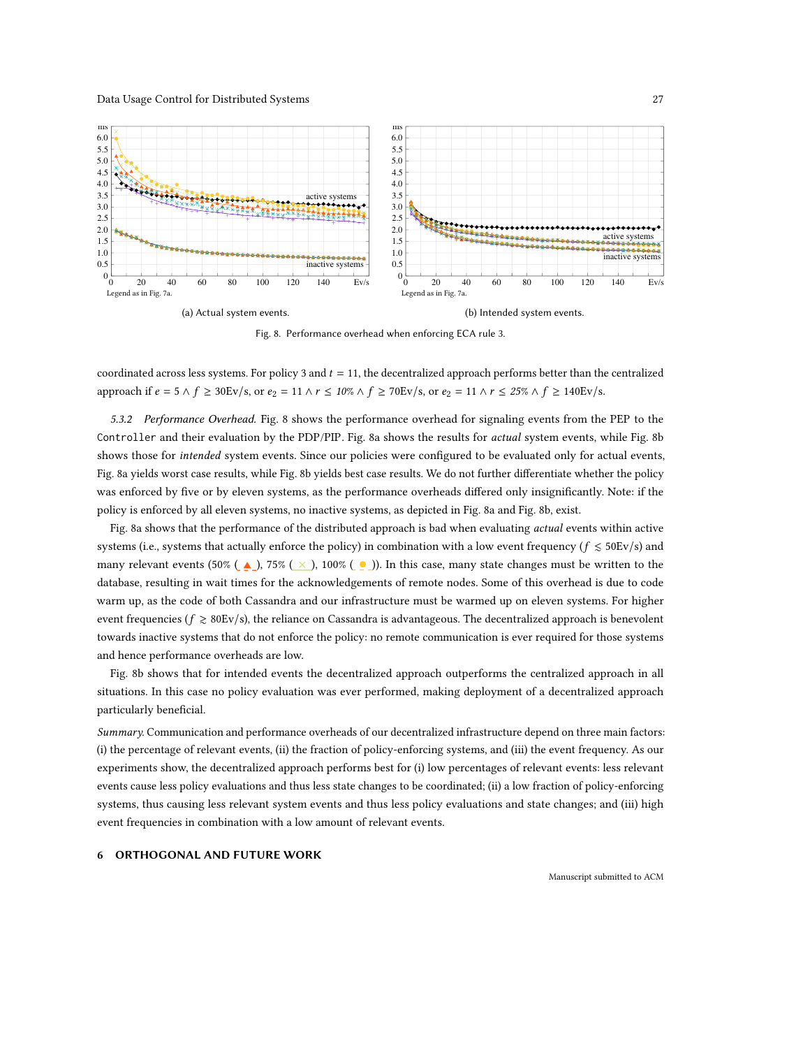<span id="page-26-0"></span>

Fig. 8. Performance overhead when enforcing ECA rule 3.

coordinated across less systems. For policy 3 and  $t = 11$ , the decentralized approach performs better than the centralized approach if  $e = 5 \land f \geq 30$ Ev/s, or  $e_2 = 11 \land r \leq 10\% \land f \geq 70$ Ev/s, or  $e_2 = 11 \land r \leq 25\% \land f \geq 140$ Ev/s.

5.3.2 Performance Overhead. Fig. [8](#page-26-0) shows the performance overhead for signaling events from the PEP to the Controller and their evaluation by the PDP/PIP. Fig. [8a](#page-26-0) shows the results for actual system events, while Fig. [8b](#page-26-0) shows those for intended system events. Since our policies were configured to be evaluated only for actual events, Fig. [8a](#page-26-0) yields worst case results, while Fig. [8b](#page-26-0) yields best case results. We do not further differentiate whether the policy was enforced by five or by eleven systems, as the performance overheads differed only insignificantly. Note: if the policy is enforced by all eleven systems, no inactive systems, as depicted in Fig. [8a](#page-26-0) and Fig. [8b,](#page-26-0) exist.

Fig. [8a](#page-26-0) shows that the performance of the distributed approach is bad when evaluating actual events within active systems (i.e., systems that actually enforce the policy) in combination with a low event frequency ( $f \le 50$ Ev/s) and many relevant events (50% ( $\blacktriangle$ ), 75% ( $\times$ ), 100% ( $\blacktriangleright$ ). In this case, many state changes must be written to the database, resulting in wait times for the acknowledgements of remote nodes. Some of this overhead is due to code warm up, as the code of both Cassandra and our infrastructure must be warmed up on eleven systems. For higher event frequencies ( $f \ge 80$ Ev/s), the reliance on Cassandra is advantageous. The decentralized approach is benevolent towards inactive systems that do not enforce the policy: no remote communication is ever required for those systems and hence performance overheads are low.

Fig. [8b](#page-26-0) shows that for intended events the decentralized approach outperforms the centralized approach in all situations. In this case no policy evaluation was ever performed, making deployment of a decentralized approach particularly beneficial.

Summary. Communication and performance overheads of our decentralized infrastructure depend on three main factors: (i) the percentage of relevant events, (ii) the fraction of policy-enforcing systems, and (iii) the event frequency. As our experiments show, the decentralized approach performs best for (i) low percentages of relevant events: less relevant events cause less policy evaluations and thus less state changes to be coordinated; (ii) a low fraction of policy-enforcing systems, thus causing less relevant system events and thus less policy evaluations and state changes; and (iii) high event frequencies in combination with a low amount of relevant events.

# 6 ORTHOGONAL AND FUTURE WORK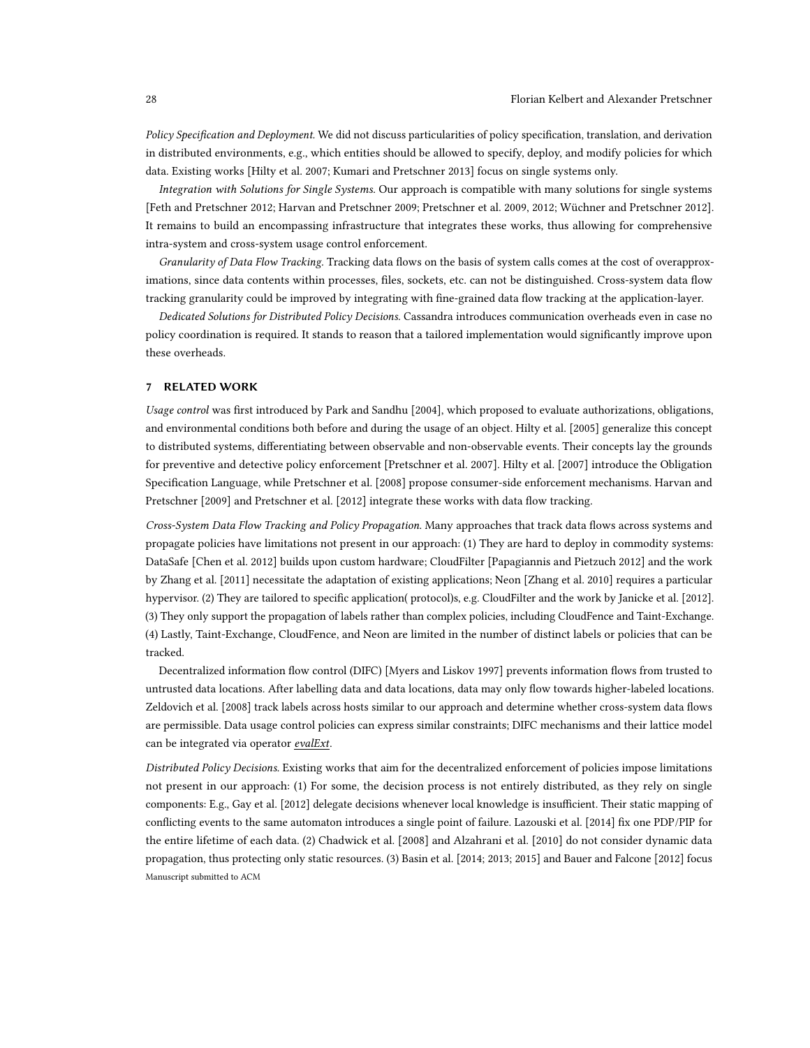Policy Specification and Deployment. We did not discuss particularities of policy specification, translation, and derivation in distributed environments, e.g., which entities should be allowed to specify, deploy, and modify policies for which data. Existing works [\[Hilty et al. 2007;](#page-29-4) [Kumari and Pretschner 2013\]](#page-30-13) focus on single systems only.

Integration with Solutions for Single Systems. Our approach is compatible with many solutions for single systems [\[Feth and Pretschner 2012;](#page-29-5) [Harvan and Pretschner 2009;](#page-29-3) [Pretschner et al.](#page-30-8) [2009,](#page-30-8) [2012;](#page-30-3) [Wüchner and Pretschner 2012\]](#page-30-9). It remains to build an encompassing infrastructure that integrates these works, thus allowing for comprehensive intra-system and cross-system usage control enforcement.

Granularity of Data Flow Tracking. Tracking data flows on the basis of system calls comes at the cost of overapproximations, since data contents within processes, files, sockets, etc. can not be distinguished. Cross-system data flow tracking granularity could be improved by integrating with fine-grained data flow tracking at the application-layer.

Dedicated Solutions for Distributed Policy Decisions. Cassandra introduces communication overheads even in case no policy coordination is required. It stands to reason that a tailored implementation would significantly improve upon these overheads.

# <span id="page-27-0"></span>7 RELATED WORK

Usage control was first introduced by [Park and Sandhu](#page-30-1) [\[2004\]](#page-30-1), which proposed to evaluate authorizations, obligations, and environmental conditions both before and during the usage of an object. [Hilty et al.](#page-29-12) [\[2005\]](#page-29-12) generalize this concept to distributed systems, differentiating between observable and non-observable events. Their concepts lay the grounds for preventive and detective policy enforcement [\[Pretschner et al.](#page-30-18) [2007\]](#page-30-18). [Hilty et al.](#page-29-4) [\[2007\]](#page-29-4) introduce the Obligation Specification Language, while [Pretschner et al.](#page-30-7) [\[2008\]](#page-30-7) propose consumer-side enforcement mechanisms. [Harvan and](#page-29-3) [Pretschner](#page-29-3) [\[2009\]](#page-29-3) and [Pretschner et al.](#page-30-3) [\[2012\]](#page-30-3) integrate these works with data flow tracking.

Cross-System Data Flow Tracking and Policy Propagation. Many approaches that track data flows across systems and propagate policies have limitations not present in our approach: (1) They are hard to deploy in commodity systems: DataSafe [\[Chen et al.](#page-29-13) [2012\]](#page-29-13) builds upon custom hardware; CloudFilter [\[Papagiannis and Pietzuch 2012\]](#page-30-6) and the work by [Zhang et al.](#page-30-19) [\[2011\]](#page-30-19) necessitate the adaptation of existing applications; Neon [\[Zhang et al.](#page-30-20) [2010\]](#page-30-20) requires a particular hypervisor. (2) They are tailored to specific application( protocol)s, e.g. CloudFilter and the work by [Janicke et al.](#page-29-14) [\[2012\]](#page-29-14). (3) They only support the propagation of labels rather than complex policies, including CloudFence and Taint-Exchange. (4) Lastly, Taint-Exchange, CloudFence, and Neon are limited in the number of distinct labels or policies that can be tracked.

<span id="page-27-1"></span>Decentralized information flow control (DIFC) [\[Myers and Liskov 1997\]](#page-30-21) prevents information flows from trusted to untrusted data locations. After labelling data and data locations, data may only flow towards higher-labeled locations. [Zeldovich et al.](#page-30-22) [\[2008\]](#page-30-22) track labels across hosts similar to our approach and determine whether cross-system data flows are permissible. Data usage control policies can express similar constraints; DIFC mechanisms and their lattice model can be integrated via operator evalExt.

<span id="page-27-2"></span>Distributed Policy Decisions. Existing works that aim for the decentralized enforcement of policies impose limitations not present in our approach: (1) For some, the decision process is not entirely distributed, as they rely on single components: E.g., [Gay et al.](#page-29-15) [\[2012\]](#page-29-15) delegate decisions whenever local knowledge is insufficient. Their static mapping of conflicting events to the same automaton introduces a single point of failure. [Lazouski et al.](#page-30-5) [\[2014\]](#page-30-5) fix one PDP/PIP for the entire lifetime of each data. (2) [Chadwick et al.](#page-29-16) [\[2008\]](#page-29-16) and [Alzahrani et al.](#page-29-17) [\[2010\]](#page-29-17) do not consider dynamic data propagation, thus protecting only static resources. (3) Basin et al. [\[2014;](#page-29-18) [2013;](#page-29-19) [2015\]](#page-29-6) and [Bauer and Falcone](#page-29-20) [\[2012\]](#page-29-20) focus Manuscript submitted to ACM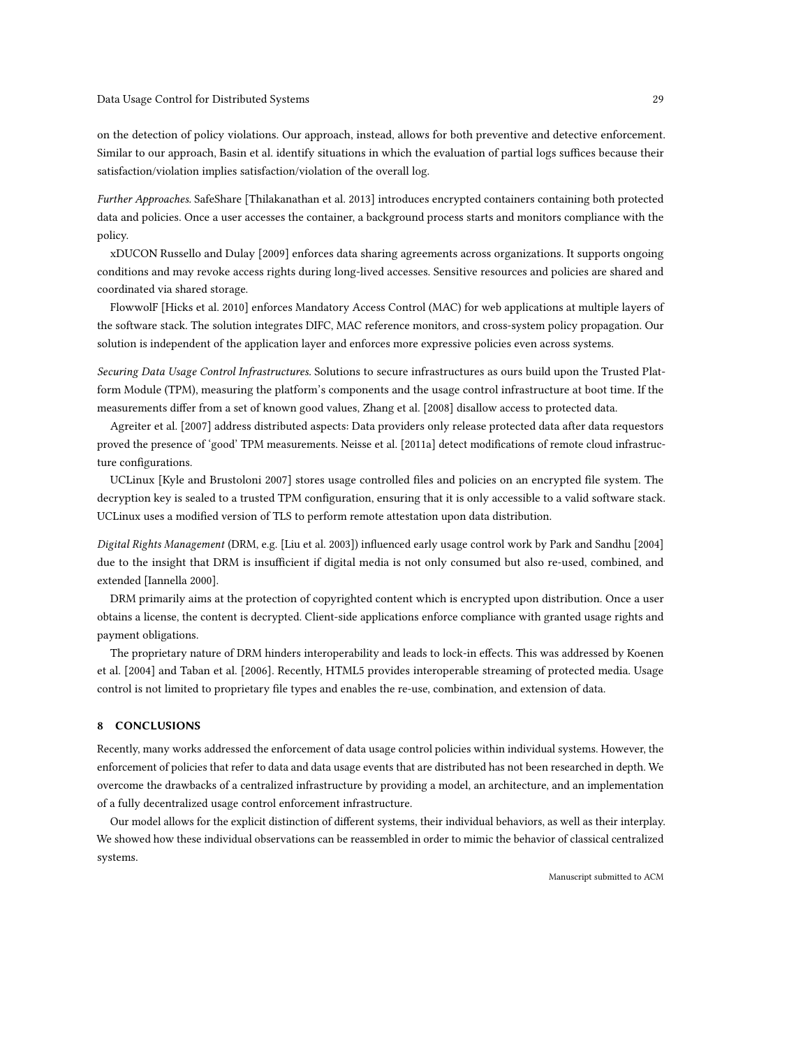on the detection of policy violations. Our approach, instead, allows for both preventive and detective enforcement. Similar to our approach, Basin et al. identify situations in which the evaluation of partial logs suffices because their satisfaction/violation implies satisfaction/violation of the overall log.

Further Approaches. SafeShare [\[Thilakanathan et al.](#page-30-23) [2013\]](#page-30-23) introduces encrypted containers containing both protected data and policies. Once a user accesses the container, a background process starts and monitors compliance with the policy.

xDUCON [Russello and Dulay](#page-30-24) [\[2009\]](#page-30-24) enforces data sharing agreements across organizations. It supports ongoing conditions and may revoke access rights during long-lived accesses. Sensitive resources and policies are shared and coordinated via shared storage.

FlowwolF [\[Hicks et al.](#page-29-21) [2010\]](#page-29-21) enforces Mandatory Access Control (MAC) for web applications at multiple layers of the software stack. The solution integrates DIFC, MAC reference monitors, and cross-system policy propagation. Our solution is independent of the application layer and enforces more expressive policies even across systems.

Securing Data Usage Control Infrastructures. Solutions to secure infrastructures as ours build upon the Trusted Platform Module (TPM), measuring the platform's components and the usage control infrastructure at boot time. If the measurements differ from a set of known good values, [Zhang et al.](#page-30-25) [\[2008\]](#page-30-25) disallow access to protected data.

[Agreiter et al.](#page-29-9) [\[2007\]](#page-29-9) address distributed aspects: Data providers only release protected data after data requestors proved the presence of 'good' TPM measurements. [Neisse et al.](#page-30-26) [\[2011a\]](#page-30-26) detect modifications of remote cloud infrastructure configurations.

UCLinux [\[Kyle and Brustoloni 2007\]](#page-30-27) stores usage controlled files and policies on an encrypted file system. The decryption key is sealed to a trusted TPM configuration, ensuring that it is only accessible to a valid software stack. UCLinux uses a modified version of TLS to perform remote attestation upon data distribution.

Digital Rights Management (DRM, e.g. [\[Liu et al.](#page-30-28) [2003\]](#page-30-28)) influenced early usage control work by [Park and Sandhu](#page-30-1) [\[2004\]](#page-30-1) due to the insight that DRM is insufficient if digital media is not only consumed but also re-used, combined, and extended [\[Iannella 2000\]](#page-29-22).

DRM primarily aims at the protection of copyrighted content which is encrypted upon distribution. Once a user obtains a license, the content is decrypted. Client-side applications enforce compliance with granted usage rights and payment obligations.

The proprietary nature of DRM hinders interoperability and leads to lock-in effects. This was addressed by [Koenen](#page-29-23) [et al.](#page-29-23) [\[2004\]](#page-29-23) and [Taban et al.](#page-30-29) [\[2006\]](#page-30-29). Recently, HTML5 provides interoperable streaming of protected media. Usage control is not limited to proprietary file types and enables the re-use, combination, and extension of data.

# 8 CONCLUSIONS

Recently, many works addressed the enforcement of data usage control policies within individual systems. However, the enforcement of policies that refer to data and data usage events that are distributed has not been researched in depth. We overcome the drawbacks of a centralized infrastructure by providing a model, an architecture, and an implementation of a fully decentralized usage control enforcement infrastructure.

Our model allows for the explicit distinction of different systems, their individual behaviors, as well as their interplay. We showed how these individual observations can be reassembled in order to mimic the behavior of classical centralized systems.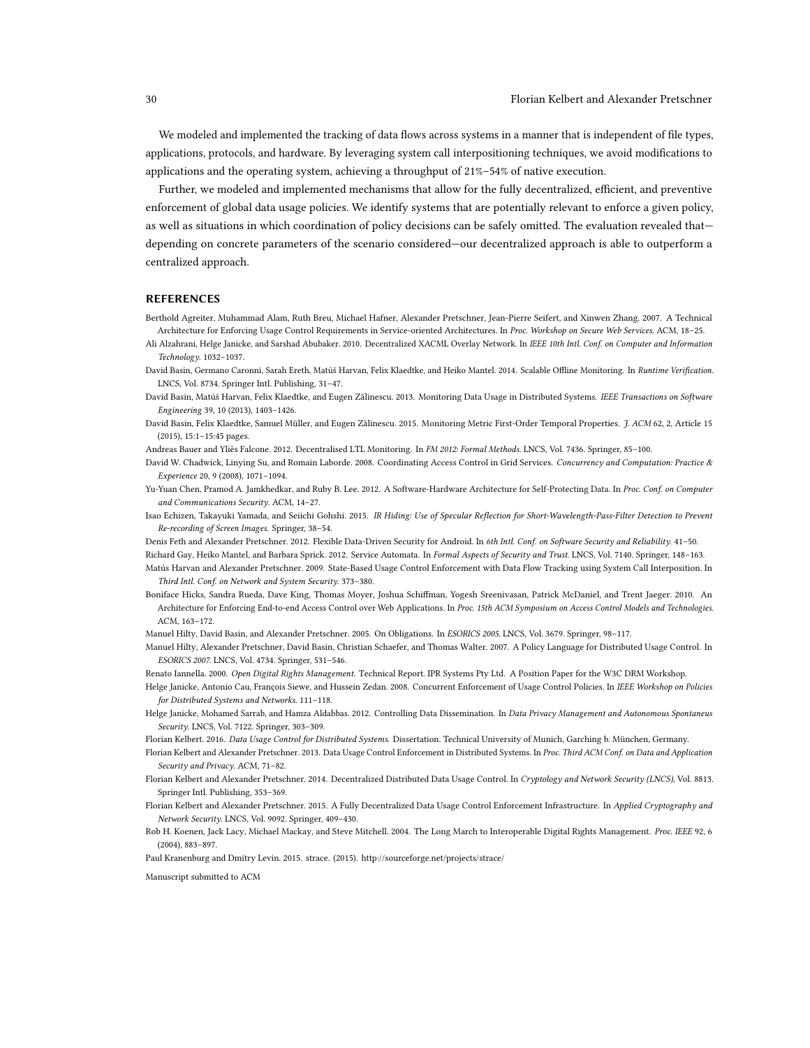We modeled and implemented the tracking of data flows across systems in a manner that is independent of file types, applications, protocols, and hardware. By leveraging system call interpositioning techniques, we avoid modifications to applications and the operating system, achieving a throughput of 21%–54% of native execution.

Further, we modeled and implemented mechanisms that allow for the fully decentralized, efficient, and preventive enforcement of global data usage policies. We identify systems that are potentially relevant to enforce a given policy, as well as situations in which coordination of policy decisions can be safely omitted. The evaluation revealed that depending on concrete parameters of the scenario considered—our decentralized approach is able to outperform a centralized approach.

# REFERENCES

- <span id="page-29-9"></span>Berthold Agreiter, Muhammad Alam, Ruth Breu, Michael Hafner, Alexander Pretschner, Jean-Pierre Seifert, and Xinwen Zhang. 2007. A Technical Architecture for Enforcing Usage Control Requirements in Service-oriented Architectures. In Proc. Workshop on Secure Web Services. ACM, 18–25.
- <span id="page-29-17"></span>Ali Alzahrani, Helge Janicke, and Sarshad Abubaker. 2010. Decentralized XACML Overlay Network. In IEEE 10th Intl. Conf. on Computer and Information Technology. 1032–1037.
- <span id="page-29-18"></span>David Basin, Germano Caronni, Sarah Ereth, Matúš Harvan, Felix Klaedtke, and Heiko Mantel. 2014. Scalable Offline Monitoring. In Runtime Verification. LNCS, Vol. 8734. Springer Intl. Publishing, 31–47.
- <span id="page-29-19"></span>David Basin, Matúš Harvan, Felix Klaedtke, and Eugen Zălinescu. 2013. Monitoring Data Usage in Distributed Systems. IEEE Transactions on Software Engineering 39, 10 (2013), 1403–1426.
- <span id="page-29-6"></span>David Basin, Felix Klaedtke, Samuel Müller, and Eugen Zălinescu. 2015. Monitoring Metric First-Order Temporal Properties. J. ACM 62, 2, Article 15 (2015), 15:1–15:45 pages.
- <span id="page-29-20"></span>Andreas Bauer and Yliès Falcone. 2012. Decentralised LTL Monitoring. In FM 2012: Formal Methods. LNCS, Vol. 7436. Springer, 85-100.
- <span id="page-29-16"></span>David W. Chadwick, Linying Su, and Romain Laborde. 2008. Coordinating Access Control in Grid Services. Concurrency and Computation: Practice & Experience 20, 9 (2008), 1071–1094.
- <span id="page-29-13"></span>Yu-Yuan Chen, Pramod A. Jamkhedkar, and Ruby B. Lee. 2012. A Software-Hardware Architecture for Self-Protecting Data. In Proc. Conf. on Computer and Communications Security. ACM, 14–27.
- <span id="page-29-10"></span>Isao Echizen, Takayuki Yamada, and Seiichi Gohshi. 2015. IR Hiding: Use of Specular Reflection for Short-Wavelength-Pass-Filter Detection to Prevent Re-recording of Screen Images. Springer, 38–54.
- <span id="page-29-15"></span><span id="page-29-5"></span>Denis Feth and Alexander Pretschner. 2012. Flexible Data-Driven Security for Android. In 6th Intl. Conf. on Software Security and Reliability. 41–50.

Richard Gay, Heiko Mantel, and Barbara Sprick. 2012. Service Automata. In Formal Aspects of Security and Trust. LNCS, Vol. 7140. Springer, 148-163.

- <span id="page-29-3"></span>Matús Harvan and Alexander Pretschner. 2009. State-Based Usage Control Enforcement with Data Flow Tracking using System Call Interposition. In Third Intl. Conf. on Network and System Security. 373–380.
- <span id="page-29-21"></span>Boniface Hicks, Sandra Rueda, Dave King, Thomas Moyer, Joshua Schiffman, Yogesh Sreenivasan, Patrick McDaniel, and Trent Jaeger. 2010. An Architecture for Enforcing End-to-end Access Control over Web Applications. In Proc. 15th ACM Symposium on Access Control Models and Technologies. ACM, 163–172.
- <span id="page-29-12"></span>Manuel Hilty, David Basin, and Alexander Pretschner. 2005. On Obligations. In ESORICS 2005. LNCS, Vol. 3679. Springer, 98–117.
- <span id="page-29-4"></span>Manuel Hilty, Alexander Pretschner, David Basin, Christian Schaefer, and Thomas Walter. 2007. A Policy Language for Distributed Usage Control. In ESORICS 2007. LNCS, Vol. 4734. Springer, 531–546.
- <span id="page-29-22"></span>Renato Iannella. 2000. Open Digital Rights Management. Technical Report. IPR Systems Pty Ltd. A Position Paper for the W3C DRM Workshop.
- <span id="page-29-7"></span>Helge Janicke, Antonio Cau, François Siewe, and Hussein Zedan. 2008. Concurrent Enforcement of Usage Control Policies. In IEEE Workshop on Policies for Distributed Systems and Networks. 111–118.
- <span id="page-29-14"></span>Helge Janicke, Mohamed Sarrab, and Hamza Aldabbas. 2012. Controlling Data Dissemination. In Data Privacy Management and Autonomous Spontaneus Security. LNCS, Vol. 7122. Springer, 303–309.
- <span id="page-29-11"></span>Florian Kelbert. 2016. Data Usage Control for Distributed Systems. Dissertation. Technical University of Munich, Garching b. München, Germany.
- <span id="page-29-0"></span>Florian Kelbert and Alexander Pretschner. 2013. Data Usage Control Enforcement in Distributed Systems. In Proc. Third ACM Conf. on Data and Application Security and Privacy. ACM, 71–82.
- <span id="page-29-1"></span>Florian Kelbert and Alexander Pretschner. 2014. Decentralized Distributed Data Usage Control. In Cryptology and Network Security (LNCS), Vol. 8813. Springer Intl. Publishing, 353–369.
- <span id="page-29-2"></span>Florian Kelbert and Alexander Pretschner. 2015. A Fully Decentralized Data Usage Control Enforcement Infrastructure. In Applied Cryptography and Network Security. LNCS, Vol. 9092. Springer, 409–430.
- <span id="page-29-23"></span><span id="page-29-8"></span>Rob H. Koenen, Jack Lacy, Michael Mackay, and Steve Mitchell. 2004. The Long March to Interoperable Digital Rights Management. Proc. IEEE 92, 6 (2004), 883–897.